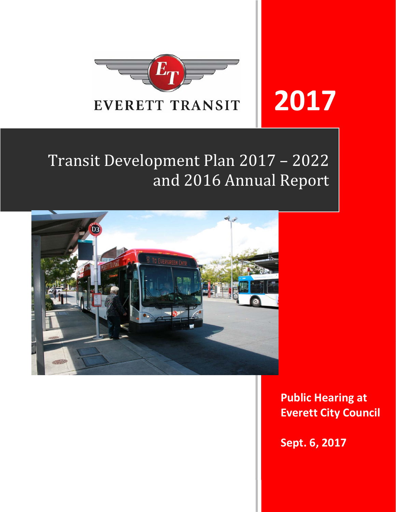

# **2017**

# Transit Development Plan 2017 - 2022 and 2016 Annual Report



**Public Hearing at Everett City Council** 

**Sept. 6, 2017**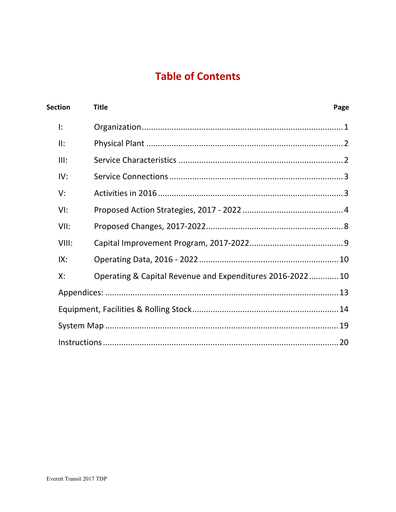# **Table of Contents**

| <b>Section</b> | <b>Title</b>                                             | Page |
|----------------|----------------------------------------------------------|------|
| I:             |                                                          |      |
| II:            |                                                          |      |
| III:           |                                                          |      |
| IV:            |                                                          |      |
| V:             |                                                          |      |
| VI:            |                                                          |      |
| VII:           |                                                          |      |
| VIII:          |                                                          |      |
| IX:            |                                                          |      |
| Х:             | Operating & Capital Revenue and Expenditures 2016-202210 |      |
|                |                                                          |      |
|                |                                                          |      |
|                |                                                          |      |
|                |                                                          |      |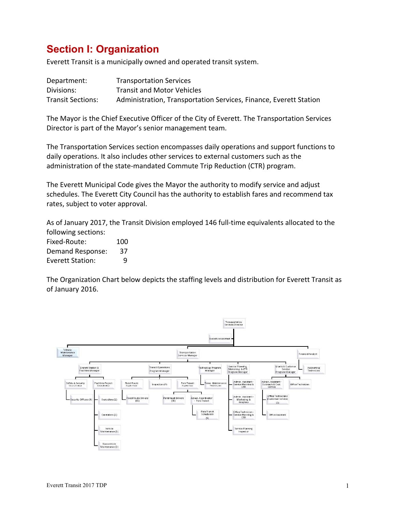# **Section I: Organization**

Everett Transit is a municipally owned and operated transit system.

| Department:       | <b>Transportation Services</b>                                    |
|-------------------|-------------------------------------------------------------------|
| Divisions:        | <b>Transit and Motor Vehicles</b>                                 |
| Transit Sections: | Administration, Transportation Services, Finance, Everett Station |

The Mayor is the Chief Executive Officer of the City of Everett. The Transportation Services Director is part of the Mayor's senior management team.

The Transportation Services section encompasses daily operations and support functions to daily operations. It also includes other services to external customers such as the administration of the state‐mandated Commute Trip Reduction (CTR) program.

The Everett Municipal Code gives the Mayor the authority to modify service and adjust schedules. The Everett City Council has the authority to establish fares and recommend tax rates, subject to voter approval.

As of January 2017, the Transit Division employed 146 full‐time equivalents allocated to the following sections:

| Fixed-Route:     | 100 |
|------------------|-----|
| Demand Response: | 37  |
| Everett Station: | q   |

The Organization Chart below depicts the staffing levels and distribution for Everett Transit as of January 2016.

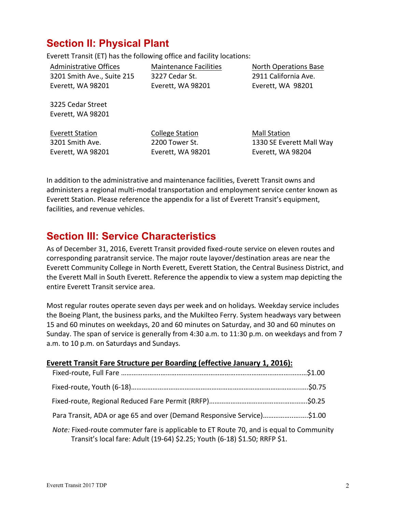# **Section II: Physical Plant**

Everett Transit (ET) has the following office and facility locations:

Administrative Offices 3201 Smith Ave., Suite 215 Everett, WA 98201

Maintenance Facilities 3227 Cedar St. Everett, WA 98201

North Operations Base 2911 California Ave. Everett, WA 98201

3225 Cedar Street Everett, WA 98201

Everett Station 3201 Smith Ave. Everett, WA 98201 College Station 2200 Tower St. Everett, WA 98201 Mall Station 1330 SE Everett Mall Way Everett, WA 98204

In addition to the administrative and maintenance facilities, Everett Transit owns and administers a regional multi‐modal transportation and employment service center known as Everett Station. Please reference the appendix for a list of Everett Transit's equipment, facilities, and revenue vehicles.

# **Section III: Service Characteristics**

As of December 31, 2016, Everett Transit provided fixed-route service on eleven routes and corresponding paratransit service. The major route layover/destination areas are near the Everett Community College in North Everett, Everett Station, the Central Business District, and the Everett Mall in South Everett. Reference the appendix to view a system map depicting the entire Everett Transit service area.

Most regular routes operate seven days per week and on holidays*.* Weekday service includes the Boeing Plant, the business parks, and the Mukilteo Ferry. System headways vary between 15 and 60 minutes on weekdays, 20 and 60 minutes on Saturday, and 30 and 60 minutes on Sunday. The span of service is generally from 4:30 a.m. to 11:30 p.m. on weekdays and from 7 a.m. to 10 p.m. on Saturdays and Sundays.

| <b>Everett Transit Fare Structure per Boarding (effective January 1, 2016):</b>                                                                                       |  |
|-----------------------------------------------------------------------------------------------------------------------------------------------------------------------|--|
|                                                                                                                                                                       |  |
|                                                                                                                                                                       |  |
|                                                                                                                                                                       |  |
| Para Transit, ADA or age 65 and over (Demand Responsive Service)\$1.00                                                                                                |  |
| Note: Fixed-route commuter fare is applicable to ET Route 70, and is equal to Community<br>Transit's local fare: Adult (19-64) \$2.25; Youth (6-18) \$1.50; RRFP \$1. |  |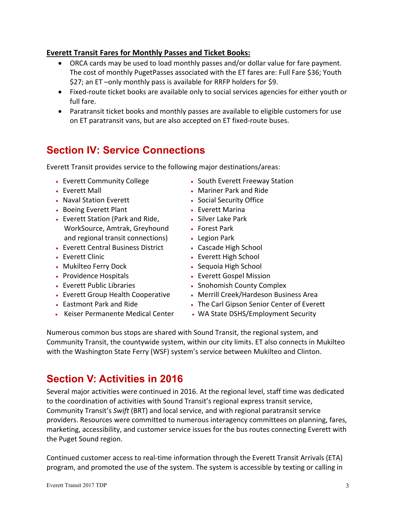### **Everett Transit Fares for Monthly Passes and Ticket Books:**

- ORCA cards may be used to load monthly passes and/or dollar value for fare payment. The cost of monthly PugetPasses associated with the ET fares are: Full Fare \$36; Youth \$27; an ET –only monthly pass is available for RRFP holders for \$9.
- Fixed-route ticket books are available only to social services agencies for either youth or full fare.
- Paratransit ticket books and monthly passes are available to eligible customers for use on ET paratransit vans, but are also accepted on ET fixed‐route buses.

# **Section IV: Service Connections**

Everett Transit provides service to the following major destinations/areas:

- Everett Community College
- Everett Mall
- Naval Station Everett
- Boeing Everett Plant
- Everett Station (Park and Ride, WorkSource, Amtrak, Greyhound and regional transit connections)
- Everett Central Business District
- Everett Clinic
- Mukilteo Ferry Dock
- Providence Hospitals
- Everett Public Libraries
- Everett Group Health Cooperative
- Eastmont Park and Ride
- Keiser Permanente Medical Center
- South Everett Freeway Station
- Mariner Park and Ride
- Social Security Office
- Everett Marina
- Silver Lake Park
- Forest Park
- Legion Park
- Cascade High School
- Everett High School
- Sequoia High School
- Everett Gospel Mission
- Snohomish County Complex
- Merrill Creek/Hardeson Business Area
- The Carl Gipson Senior Center of Everett
- WA State DSHS/Employment Security

Numerous common bus stops are shared with Sound Transit, the regional system, and Community Transit, the countywide system, within our city limits. ET also connects in Mukilteo with the Washington State Ferry (WSF) system's service between Mukilteo and Clinton.

# **Section V: Activities in 2016**

Several major activities were continued in 2016. At the regional level, staff time was dedicated to the coordination of activities with Sound Transit's regional express transit service, Community Transit's *Swift* (BRT) and local service, and with regional paratransit service providers. Resources were committed to numerous interagency committees on planning, fares, marketing, accessibility, and customer service issues for the bus routes connecting Everett with the Puget Sound region.

Continued customer access to real‐time information through the Everett Transit Arrivals (ETA) program, and promoted the use of the system. The system is accessible by texting or calling in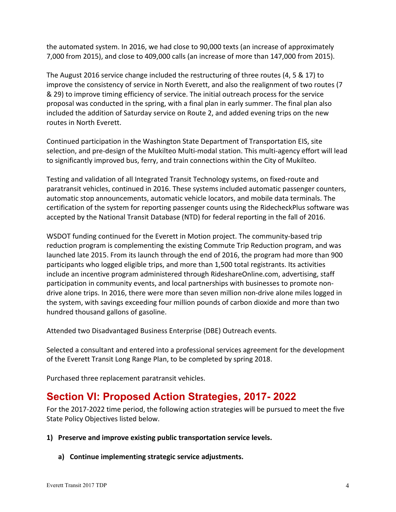the automated system. In 2016, we had close to 90,000 texts (an increase of approximately 7,000 from 2015), and close to 409,000 calls (an increase of more than 147,000 from 2015).

The August 2016 service change included the restructuring of three routes (4, 5 & 17) to improve the consistency of service in North Everett, and also the realignment of two routes (7 & 29) to improve timing efficiency of service. The initial outreach process for the service proposal was conducted in the spring, with a final plan in early summer. The final plan also included the addition of Saturday service on Route 2, and added evening trips on the new routes in North Everett.

Continued participation in the Washington State Department of Transportation EIS, site selection, and pre-design of the Mukilteo Multi-modal station. This multi-agency effort will lead to significantly improved bus, ferry, and train connections within the City of Mukilteo.

Testing and validation of all Integrated Transit Technology systems, on fixed‐route and paratransit vehicles, continued in 2016. These systems included automatic passenger counters, automatic stop announcements, automatic vehicle locators, and mobile data terminals. The certification of the system for reporting passenger counts using the RidecheckPlus software was accepted by the National Transit Database (NTD) for federal reporting in the fall of 2016.

WSDOT funding continued for the Everett in Motion project. The community‐based trip reduction program is complementing the existing Commute Trip Reduction program, and was launched late 2015. From its launch through the end of 2016, the program had more than 900 participants who logged eligible trips, and more than 1,500 total registrants. Its activities include an incentive program administered through RideshareOnline.com, advertising, staff participation in community events, and local partnerships with businesses to promote non‐ drive alone trips. In 2016, there were more than seven million non‐drive alone miles logged in the system, with savings exceeding four million pounds of carbon dioxide and more than two hundred thousand gallons of gasoline.

Attended two Disadvantaged Business Enterprise (DBE) Outreach events.

Selected a consultant and entered into a professional services agreement for the development of the Everett Transit Long Range Plan, to be completed by spring 2018.

Purchased three replacement paratransit vehicles.

# **Section VI: Proposed Action Strategies, 2017- 2022**

For the 2017‐2022 time period, the following action strategies will be pursued to meet the five State Policy Objectives listed below.

- **1) Preserve and improve existing public transportation service levels.** 
	- **a) Continue implementing strategic service adjustments.**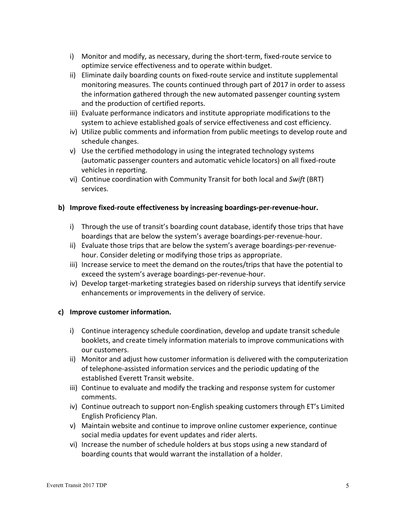- i) Monitor and modify, as necessary, during the short-term, fixed-route service to optimize service effectiveness and to operate within budget.
- ii) Eliminate daily boarding counts on fixed‐route service and institute supplemental monitoring measures. The counts continued through part of 2017 in order to assess the information gathered through the new automated passenger counting system and the production of certified reports.
- iii) Evaluate performance indicators and institute appropriate modifications to the system to achieve established goals of service effectiveness and cost efficiency.
- iv) Utilize public comments and information from public meetings to develop route and schedule changes.
- v) Use the certified methodology in using the integrated technology systems (automatic passenger counters and automatic vehicle locators) on all fixed‐route vehicles in reporting.
- vi) Continue coordination with Community Transit for both local and *Swift* (BRT) services.

### **b) Improve fixed‐route effectiveness by increasing boardings‐per‐revenue‐hour.**

- i) Through the use of transit's boarding count database, identify those trips that have boardings that are below the system's average boardings‐per‐revenue‐hour.
- ii) Evaluate those trips that are below the system's average boardings‐per‐revenue‐ hour. Consider deleting or modifying those trips as appropriate.
- iii) Increase service to meet the demand on the routes/trips that have the potential to exceed the system's average boardings‐per‐revenue‐hour.
- iv) Develop target-marketing strategies based on ridership surveys that identify service enhancements or improvements in the delivery of service.

#### **c) Improve customer information.**

- i) Continue interagency schedule coordination, develop and update transit schedule booklets, and create timely information materials to improve communications with our customers.
- ii) Monitor and adjust how customer information is delivered with the computerization of telephone‐assisted information services and the periodic updating of the established Everett Transit website.
- iii) Continue to evaluate and modify the tracking and response system for customer comments.
- iv) Continue outreach to support non-English speaking customers through ET's Limited English Proficiency Plan.
- v) Maintain website and continue to improve online customer experience, continue social media updates for event updates and rider alerts.
- vi) Increase the number of schedule holders at bus stops using a new standard of boarding counts that would warrant the installation of a holder.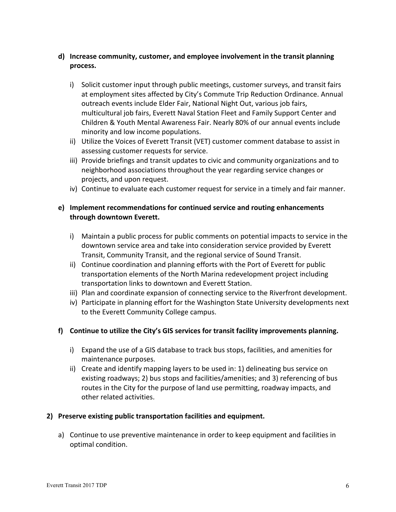### **d) Increase community, customer, and employee involvement in the transit planning process.**

- i) Solicit customer input through public meetings, customer surveys, and transit fairs at employment sites affected by City's Commute Trip Reduction Ordinance. Annual outreach events include Elder Fair, National Night Out, various job fairs, multicultural job fairs, Everett Naval Station Fleet and Family Support Center and Children & Youth Mental Awareness Fair. Nearly 80% of our annual events include minority and low income populations.
- ii) Utilize the Voices of Everett Transit (VET) customer comment database to assist in assessing customer requests for service.
- iii) Provide briefings and transit updates to civic and community organizations and to neighborhood associations throughout the year regarding service changes or projects, and upon request.
- iv) Continue to evaluate each customer request for service in a timely and fair manner.

#### **e) Implement recommendations for continued service and routing enhancements through downtown Everett.**

- i) Maintain a public process for public comments on potential impacts to service in the downtown service area and take into consideration service provided by Everett Transit, Community Transit, and the regional service of Sound Transit.
- ii) Continue coordination and planning efforts with the Port of Everett for public transportation elements of the North Marina redevelopment project including transportation links to downtown and Everett Station.
- iii) Plan and coordinate expansion of connecting service to the Riverfront development.
- iv) Participate in planning effort for the Washington State University developments next to the Everett Community College campus.

### **f) Continue to utilize the City's GIS services for transit facility improvements planning.**

- i) Expand the use of a GIS database to track bus stops, facilities, and amenities for maintenance purposes.
- ii) Create and identify mapping layers to be used in: 1) delineating bus service on existing roadways; 2) bus stops and facilities/amenities; and 3) referencing of bus routes in the City for the purpose of land use permitting, roadway impacts, and other related activities.

#### **2) Preserve existing public transportation facilities and equipment.**

a) Continue to use preventive maintenance in order to keep equipment and facilities in optimal condition.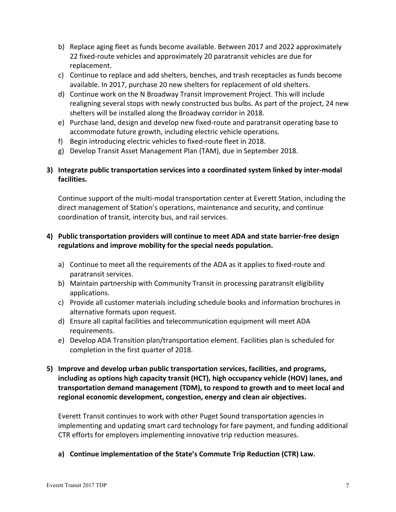- b) Replace aging fleet as funds become available. Between 2017 and 2022 approximately 22 fixed‐route vehicles and approximately 20 paratransit vehicles are due for replacement.
- c) Continue to replace and add shelters, benches, and trash receptacles as funds become available. In 2017, purchase 20 new shelters for replacement of old shelters.
- d) Continue work on the N Broadway Transit Improvement Project. This will include realigning several stops with newly constructed bus bulbs. As part of the project, 24 new shelters will be installed along the Broadway corridor in 2018.
- e) Purchase land, design and develop new fixed‐route and paratransit operating base to accommodate future growth, including electric vehicle operations.
- f) Begin introducing electric vehicles to fixed‐route fleet in 2018.
- g) Develop Transit Asset Management Plan (TAM), due in September 2018.

### **3) Integrate public transportation services into a coordinated system linked by inter‐modal facilities.**

Continue support of the multi‐modal transportation center at Everett Station, including the direct management of Station's operations, maintenance and security, and continue coordination of transit, intercity bus, and rail services.

### **4) Public transportation providers will continue to meet ADA and state barrier‐free design regulations and improve mobility for the special needs population.**

- a) Continue to meet all the requirements of the ADA as it applies to fixed‐route and paratransit services.
- b) Maintain partnership with Community Transit in processing paratransit eligibility applications.
- c) Provide all customer materials including schedule books and information brochures in alternative formats upon request.
- d) Ensure all capital facilities and telecommunication equipment will meet ADA requirements.
- e) Develop ADA Transition plan/transportation element. Facilities plan is scheduled for completion in the first quarter of 2018.
- **5) Improve and develop urban public transportation services, facilities, and programs, including as options high capacity transit (HCT), high occupancy vehicle (HOV) lanes, and transportation demand management (TDM), to respond to growth and to meet local and regional economic development, congestion, energy and clean air objectives.**

Everett Transit continues to work with other Puget Sound transportation agencies in implementing and updating smart card technology for fare payment, and funding additional CTR efforts for employers implementing innovative trip reduction measures.

**a) Continue implementation of the State's Commute Trip Reduction (CTR) Law.**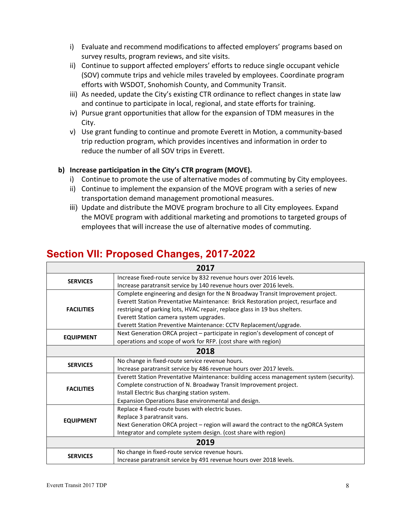- i) Evaluate and recommend modifications to affected employers' programs based on survey results, program reviews, and site visits.
- ii) Continue to support affected employers' efforts to reduce single occupant vehicle (SOV) commute trips and vehicle miles traveled by employees. Coordinate program efforts with WSDOT, Snohomish County, and Community Transit.
- iii) As needed, update the City's existing CTR ordinance to reflect changes in state law and continue to participate in local, regional, and state efforts for training.
- iv) Pursue grant opportunities that allow for the expansion of TDM measures in the City.
- v) Use grant funding to continue and promote Everett in Motion, a community‐based trip reduction program, which provides incentives and information in order to reduce the number of all SOV trips in Everett.

### **b) Increase participation in the City's CTR program (MOVE).**

- i) Continue to promote the use of alternative modes of commuting by City employees.
- ii) Continue to implement the expansion of the MOVE program with a series of new transportation demand management promotional measures.
- iii) Update and distribute the MOVE program brochure to all City employees. Expand the MOVE program with additional marketing and promotions to targeted groups of employees that will increase the use of alternative modes of commuting.

# **Section VII: Proposed Changes, 2017-2022**

|                   | 2017                                                                                    |  |  |  |  |  |  |  |  |
|-------------------|-----------------------------------------------------------------------------------------|--|--|--|--|--|--|--|--|
| <b>SERVICES</b>   | Increase fixed-route service by 832 revenue hours over 2016 levels.                     |  |  |  |  |  |  |  |  |
|                   | Increase paratransit service by 140 revenue hours over 2016 levels.                     |  |  |  |  |  |  |  |  |
|                   | Complete engineering and design for the N Broadway Transit Improvement project.         |  |  |  |  |  |  |  |  |
|                   | Everett Station Preventative Maintenance: Brick Restoration project, resurface and      |  |  |  |  |  |  |  |  |
| <b>FACILITIES</b> | restriping of parking lots, HVAC repair, replace glass in 19 bus shelters.              |  |  |  |  |  |  |  |  |
|                   | Everett Station camera system upgrades.                                                 |  |  |  |  |  |  |  |  |
|                   | Everett Station Preventive Maintenance: CCTV Replacement/upgrade.                       |  |  |  |  |  |  |  |  |
|                   | Next Generation ORCA project – participate in region's development of concept of        |  |  |  |  |  |  |  |  |
| <b>EQUIPMENT</b>  | operations and scope of work for RFP. (cost share with region)                          |  |  |  |  |  |  |  |  |
| 2018              |                                                                                         |  |  |  |  |  |  |  |  |
| <b>SERVICES</b>   | No change in fixed-route service revenue hours.                                         |  |  |  |  |  |  |  |  |
|                   | Increase paratransit service by 486 revenue hours over 2017 levels.                     |  |  |  |  |  |  |  |  |
|                   | Everett Station Preventative Maintenance: building access management system (security). |  |  |  |  |  |  |  |  |
|                   | Complete construction of N. Broadway Transit Improvement project.                       |  |  |  |  |  |  |  |  |
| <b>FACILITIES</b> | Install Electric Bus charging station system.                                           |  |  |  |  |  |  |  |  |
|                   | Expansion Operations Base environmental and design.                                     |  |  |  |  |  |  |  |  |
|                   | Replace 4 fixed-route buses with electric buses.                                        |  |  |  |  |  |  |  |  |
|                   | Replace 3 paratransit vans.                                                             |  |  |  |  |  |  |  |  |
| <b>EQUIPMENT</b>  | Next Generation ORCA project - region will award the contract to the ngORCA System      |  |  |  |  |  |  |  |  |
|                   | Integrator and complete system design. (cost share with region)                         |  |  |  |  |  |  |  |  |
|                   | 2019                                                                                    |  |  |  |  |  |  |  |  |
|                   | No change in fixed-route service revenue hours.                                         |  |  |  |  |  |  |  |  |
| <b>SERVICES</b>   | Increase paratransit service by 491 revenue hours over 2018 levels.                     |  |  |  |  |  |  |  |  |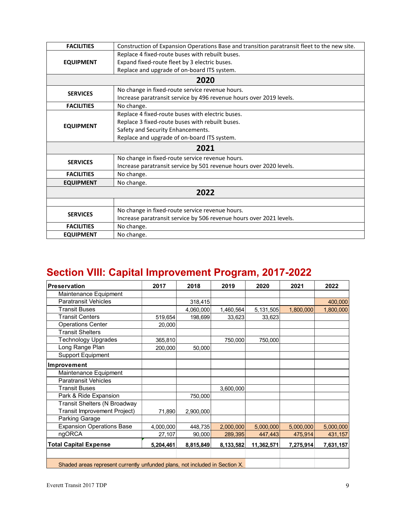| <b>FACILITIES</b> | Construction of Expansion Operations Base and transition paratransit fleet to the new site. |  |  |  |  |  |  |  |  |  |
|-------------------|---------------------------------------------------------------------------------------------|--|--|--|--|--|--|--|--|--|
|                   | Replace 4 fixed-route buses with rebuilt buses.                                             |  |  |  |  |  |  |  |  |  |
| <b>EQUIPMENT</b>  | Expand fixed-route fleet by 3 electric buses.                                               |  |  |  |  |  |  |  |  |  |
|                   | Replace and upgrade of on-board ITS system.                                                 |  |  |  |  |  |  |  |  |  |
| 2020              |                                                                                             |  |  |  |  |  |  |  |  |  |
| <b>SERVICES</b>   | No change in fixed-route service revenue hours.                                             |  |  |  |  |  |  |  |  |  |
|                   | Increase paratransit service by 496 revenue hours over 2019 levels.                         |  |  |  |  |  |  |  |  |  |
| <b>FACILITIES</b> | No change.                                                                                  |  |  |  |  |  |  |  |  |  |
|                   | Replace 4 fixed-route buses with electric buses.                                            |  |  |  |  |  |  |  |  |  |
| <b>EQUIPMENT</b>  | Replace 3 fixed-route buses with rebuilt buses.                                             |  |  |  |  |  |  |  |  |  |
|                   | Safety and Security Enhancements.                                                           |  |  |  |  |  |  |  |  |  |
|                   | Replace and upgrade of on-board ITS system.                                                 |  |  |  |  |  |  |  |  |  |
|                   | 2021                                                                                        |  |  |  |  |  |  |  |  |  |
| <b>SERVICES</b>   | No change in fixed-route service revenue hours.                                             |  |  |  |  |  |  |  |  |  |
|                   | Increase paratransit service by 501 revenue hours over 2020 levels.                         |  |  |  |  |  |  |  |  |  |
| <b>FACILITIES</b> | No change.                                                                                  |  |  |  |  |  |  |  |  |  |
| <b>EQUIPMENT</b>  | No change.                                                                                  |  |  |  |  |  |  |  |  |  |
|                   | 2022                                                                                        |  |  |  |  |  |  |  |  |  |
|                   |                                                                                             |  |  |  |  |  |  |  |  |  |
| <b>SERVICES</b>   | No change in fixed-route service revenue hours.                                             |  |  |  |  |  |  |  |  |  |
|                   | Increase paratransit service by 506 revenue hours over 2021 levels.                         |  |  |  |  |  |  |  |  |  |
| <b>FACILITIES</b> | No change.                                                                                  |  |  |  |  |  |  |  |  |  |
| <b>EQUIPMENT</b>  | No change.                                                                                  |  |  |  |  |  |  |  |  |  |
|                   |                                                                                             |  |  |  |  |  |  |  |  |  |

# **Section VIII: Capital Improvement Program, 2017-2022**

| Preservation                        | 2017                                                                        | 2018      | 2019      | 2020       | 2021      | 2022      |  |  |  |  |  |  |
|-------------------------------------|-----------------------------------------------------------------------------|-----------|-----------|------------|-----------|-----------|--|--|--|--|--|--|
| Maintenance Equipment               |                                                                             |           |           |            |           |           |  |  |  |  |  |  |
| <b>Paratransit Vehicles</b>         |                                                                             | 318,415   |           |            |           | 400,000   |  |  |  |  |  |  |
| <b>Transit Buses</b>                |                                                                             | 4,060,000 | 1,460,564 | 5,131,505  | 1,800,000 | 1,800,000 |  |  |  |  |  |  |
| <b>Transit Centers</b>              | 519,654                                                                     | 198,699   | 33,623    | 33,623     |           |           |  |  |  |  |  |  |
| <b>Operations Center</b>            | 20,000                                                                      |           |           |            |           |           |  |  |  |  |  |  |
| <b>Transit Shelters</b>             |                                                                             |           |           |            |           |           |  |  |  |  |  |  |
| <b>Technology Upgrades</b>          | 365,810                                                                     |           | 750,000   | 750,000    |           |           |  |  |  |  |  |  |
| Long Range Plan                     | 200,000                                                                     | 50,000    |           |            |           |           |  |  |  |  |  |  |
| <b>Support Equipment</b>            |                                                                             |           |           |            |           |           |  |  |  |  |  |  |
| <b>Improvement</b>                  |                                                                             |           |           |            |           |           |  |  |  |  |  |  |
| Maintenance Equipment               |                                                                             |           |           |            |           |           |  |  |  |  |  |  |
| <b>Paratransit Vehicles</b>         |                                                                             |           |           |            |           |           |  |  |  |  |  |  |
| Transit Buses                       |                                                                             |           | 3,600,000 |            |           |           |  |  |  |  |  |  |
| Park & Ride Expansion               |                                                                             | 750,000   |           |            |           |           |  |  |  |  |  |  |
| <b>Transit Shelters (N Broadway</b> |                                                                             |           |           |            |           |           |  |  |  |  |  |  |
| <b>Transit Improvement Project)</b> | 71,890                                                                      | 2,900,000 |           |            |           |           |  |  |  |  |  |  |
| Parking Garage                      |                                                                             |           |           |            |           |           |  |  |  |  |  |  |
| <b>Expansion Operations Base</b>    | 4,000,000                                                                   | 448,735   | 2,000,000 | 5,000,000  | 5,000,000 | 5,000,000 |  |  |  |  |  |  |
| ngORCA                              | 27,107                                                                      | 90,000    | 289,395   | 447,443    | 475,914   | 431,157   |  |  |  |  |  |  |
| <b>Total Capital Expense</b>        | 5,204,461                                                                   | 8,815,849 | 8,133,582 | 11,362,571 | 7,275,914 | 7,631,157 |  |  |  |  |  |  |
|                                     |                                                                             |           |           |            |           |           |  |  |  |  |  |  |
|                                     | Shaded areas represent currently unfunded plans, not included in Section X. |           |           |            |           |           |  |  |  |  |  |  |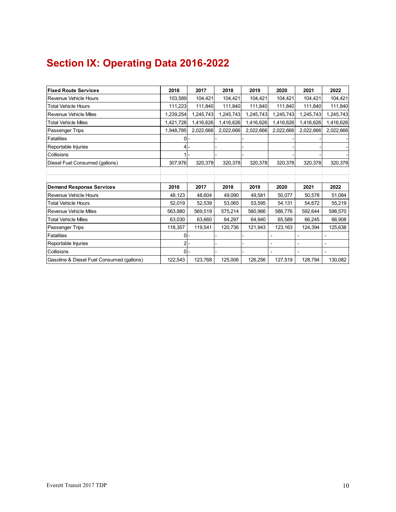# **Section IX: Operating Data 2016-2022**

| <b>IFixed Route Services</b>              | 2016         | 2017      | 2018      | 2019      | 2020      | 2021                     | 2022      |
|-------------------------------------------|--------------|-----------|-----------|-----------|-----------|--------------------------|-----------|
| <b>Revenue Vehicle Hours</b>              | 103,589      | 104,421   | 104,421   | 104,421   | 104,421   | 104,421                  | 104,421   |
| <b>Total Vehicle Hours</b>                | 111,223      | 111,840   | 111,840   | 111,840   | 111,840   | 111,840                  | 111,840   |
| Revenue Vehicle Miles                     | 1,239,254    | 1,245,743 | 1,245,743 | 1,245,743 | 1,245,743 | 1,245,743                | 1,245,743 |
| <b>Total Vehicle Miles</b>                | 1,421,728    | 1,416,626 | 1,416,626 | 1,416,626 | 1,416,626 | 1,416,626                | 1,416,626 |
| Passenger Trips                           | 1,948,785    | 2,022,666 | 2,022,666 | 2,022,666 | 2,022,666 | 2,022,666                | 2,022,666 |
| <b>Fatalities</b>                         | ΩI           |           |           |           |           |                          |           |
| Reportable Injuries                       | 41           |           |           |           |           |                          |           |
| Collisions                                |              |           |           |           |           |                          |           |
| Diesel Fuel Consumed (gallons)            | 307,976      | 320,378   | 320,378   | 320,378   | 320,378   | 320,378                  | 320,378   |
|                                           |              |           |           |           |           |                          |           |
|                                           |              |           |           |           |           |                          |           |
| <b>Demand Response Services</b>           | 2016         | 2017      | 2018      | 2019      | 2020      | 2021                     | 2022      |
| <b>Revenue Vehicle Hours</b>              | 48,123       | 48,604    | 49.090    | 49,581    | 50,077    | 50,578                   | 51,084    |
| <b>Total Vehicle Hours</b>                | 52,019       | 52,539    | 53,065    | 53,595    | 54,131    | 54,672                   | 55,219    |
| Revenue Vehicle Miles                     | 563,880      | 569,519   | 575,214   | 580,966   | 586,776   | 592,644                  | 598,570   |
| <b>Total Vehicle Miles</b>                | 63,030       | 63,660    | 64,297    | 64,940    | 65,589    | 66,245                   | 66,908    |
| Passenger Trips                           | 118,357      | 119,541   | 120,736   | 121,943   | 123,163   | 124,394                  | 125,638   |
| Fatalities                                | <sup>o</sup> |           |           |           |           |                          |           |
| Reportable Injuries                       |              |           |           |           |           | $\overline{\phantom{0}}$ |           |
| Collisions                                | $0 -$        |           |           |           |           |                          |           |
| Gasoline & Diesel Fuel Consumed (gallons) | 122,543      | 123,768   | 125,006   | 126,256   | 127,519   | 128,794                  | 130,082   |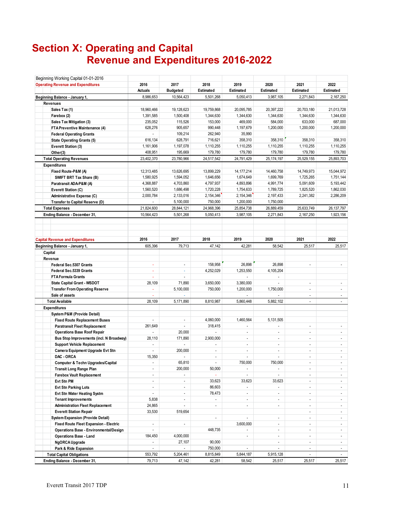# **Section X: Operating and Capital Revenue and Expenditures 2016-2022**

| Beginning Working Capital 01-01-2016          |                          |                 |                          |                          |                          |                          |                          |  |
|-----------------------------------------------|--------------------------|-----------------|--------------------------|--------------------------|--------------------------|--------------------------|--------------------------|--|
| <b>Operating Revenue and Expenditures</b>     | 2016                     | 2017            | 2018                     | 2019                     | 2020                     | 2021                     | 2022                     |  |
|                                               | <b>Actuals</b>           | <b>Budgeted</b> | Estimated                | Estimated                | Estimated                | Estimated                | Estimated                |  |
| Beginning Balance - January 1,                | 8,986,653                | 10,564,423      | 5.501.268                | 5,050,413                | 3.987.105                | 2.271.843                | 2.167.250                |  |
| <b>Revenues</b>                               |                          |                 |                          |                          |                          |                          |                          |  |
| Sales Tax (1)                                 | 18,960,466               | 19.128.623      | 19,759,868               | 20,095,785               | 20,397,222               | 20.703.180               | 21,013,728               |  |
| Farebox (2)                                   | 1,391,585                | 1,500,408       | 1,344,630                | 1,344,630                | 1,344,630                | 1,344,630                | 1,344,630                |  |
| Sales Tax Mitigation (3)                      | 235,052                  | 115,526         | 153,000                  | 469,000                  | 584,000                  | 633,000                  | 687,000                  |  |
| FTA Preventive Maintenance (4)                | 628,276                  | 905,657         | 990,448                  | 1,197,679                | 1,200,000                | 1,200,000                | 1,200,000                |  |
| <b>Federal Operating Grants</b>               |                          | 109,214         | 262,940                  | 35,990                   |                          |                          |                          |  |
| <b>State Operating Grants (5)</b>             | 616,134                  | 628,791         | 716,621                  | 358,310                  | 358.310                  | 358,310                  | 358,310                  |  |
| Everett Station (3)                           | 1,161,906                | 1,197,078       | 1,110,255                | 1,110,255                | 1,110,255                | 1,110,255                | 1,110,255                |  |
| Other(3)                                      | 408,951                  | 195,669         | 179,780                  | 179,780                  | 179,780                  | 179,780                  | 179,780                  |  |
| <b>Total Operating Revenues</b>               | 23,402,370               | 23,780,966      | 24,517,542               | 24,791,429               | 25, 174, 197             | 25,529,155               | 25,893,703               |  |
| <b>Expenditures</b>                           |                          |                 |                          |                          |                          |                          |                          |  |
| Fixed Route-P&M (A)                           | 12,313,485               | 13,626,695      | 13,899,229               | 14, 177, 214             | 14,460,758               | 14,749,973               | 15,044,972               |  |
| SWIFT BRT Tax Share (B)                       | 1,580,925                | 1,594,052       | 1,646,656                | 1,674,649                | 1,699,769                | 1,725,265                | 1,751,144                |  |
| Paratransit ADA-P&M (A)                       | 4,368,887                | 4,703,860       | 4,797,937                | 4,893,896                | 4,991,774                | 5,091,609                | 5,193,442                |  |
| Everett Station (C)                           | 1,560,520                | 1,686,498       | 1,720,228                | 1,754,633                | 1,789,725                | 1,825,520                | 1,862,030                |  |
| Administrative Expense (C)                    | 2,000,784                | 2,133,016       | 2,154,346                | 2,154,346                | 2,197,433                | 2,241,382                | 2,286,209                |  |
| <b>Transfer to Capital Reserve (D)</b>        |                          | 5,100,000       | 750,000                  | 1,200,000                | 1,750,000                |                          |                          |  |
| <b>Total Expenses</b>                         | 21,824,600               | 28,844,121      | 24,968,396               | 25,854,738               | 26,889,459               | 25,633,749               | 26, 137, 797             |  |
| Ending Balance - December 31,                 | 10,564,423               | 5,501,268       | 5,050,413                | 3,987,105                | 2,271,843                | 2,167,250                | 1,923,156                |  |
|                                               |                          |                 |                          |                          |                          |                          |                          |  |
| <b>Capital Revenue and Expenditures</b>       | 2016                     | 2017            | 2018                     | 2019                     | 2020                     | 2021                     | 2022                     |  |
| Beginning Balance - January 1,                | 605,396                  | 79,713          | 47,142                   | 42,281                   | 58,542                   | 25,517                   | 25,517                   |  |
| Capital                                       |                          |                 |                          |                          |                          |                          |                          |  |
| Revenue                                       |                          |                 |                          |                          |                          |                          |                          |  |
| Federal Sec.5307 Grants                       | $\blacksquare$           | $\blacksquare$  | 158,958                  | 26,898                   | 26,898                   | $\overline{\phantom{a}}$ | ÷,                       |  |
| Federal Sec.5339 Grants                       | ä,                       | ä,              | 4,252,029                | 1,253,550                | 4,105,204                |                          |                          |  |
| <b>FTA Formula Grants</b>                     | ÷                        | $\overline{a}$  |                          |                          |                          |                          |                          |  |
| <b>State Capital Grant - WSDOT</b>            | 28,109                   | 71,890          | 3,650,000                | 3,380,000                |                          | $\overline{\phantom{a}}$ | $\blacksquare$           |  |
| <b>Transfer From Operating Reserve</b>        |                          | 5,100,000       | 750,000                  | 1,200,000                | 1,750,000                | ÷,                       | $\overline{\phantom{a}}$ |  |
| Sale of assets                                |                          |                 |                          |                          |                          |                          | $\blacksquare$           |  |
| <b>Total Available</b>                        | 28,109                   | 5,171,890       | 8,810,987                | 5,860,448                | 5,882,102                | $\blacksquare$           | $\sim$                   |  |
| <b>Expenditures</b>                           |                          |                 |                          |                          |                          |                          |                          |  |
| System P&M (Provide Detail)                   |                          |                 |                          |                          |                          |                          |                          |  |
| <b>Fixed Route Replacement Buses</b>          | ÷,                       | ٠               | 4,060,000                | 1,460,564                | 5,131,505                |                          |                          |  |
| <b>Paratransit Fleet Replacement</b>          | 261,649                  | ÷.              | 318,415                  |                          | ÷,                       | $\tilde{\phantom{a}}$    |                          |  |
| <b>Operations Base Roof Repair</b>            |                          | 20,000          |                          | $\blacksquare$           | $\blacksquare$           | $\overline{a}$           | $\blacksquare$           |  |
| Bus Stop Improvements (incl. N Broadway)      | 28,110                   | 171,890         | 2,900,000                | $\blacksquare$           | $\sim$                   | $\overline{a}$           | $\blacksquare$           |  |
| <b>Support Vehicle Replacement</b>            |                          |                 | $\overline{a}$           | ÷,                       | ÷,                       | $\blacksquare$           | $\blacksquare$           |  |
| Camera Equipment Upgrade Evt Stn              | $\overline{\phantom{a}}$ | 200,000         | $\overline{a}$           | $\overline{a}$           | ÷,                       | $\overline{a}$           | $\blacksquare$           |  |
| DAC - ORCA                                    | 15,350                   |                 | ÷.                       | $\overline{a}$           | $\overline{a}$           | $\overline{a}$           | ÷.                       |  |
| <b>Computer &amp; Techn Upgrades/Capital</b>  | $\overline{a}$           | 65,810          | ÷                        | 750,000                  | 750,000                  |                          |                          |  |
| <b>Transit Long Range Plan</b>                | $\sim$                   | 200,000         | 50,000                   | $\blacksquare$           | $\blacksquare$           | $\blacksquare$           |                          |  |
| <b>Farebox Vault Replacement</b>              | $\blacksquare$           |                 | $\blacksquare$           | $\blacksquare$           | ÷,                       | $\overline{a}$           | $\blacksquare$           |  |
| Evt Stn PM                                    | $\overline{\phantom{a}}$ | ÷.              | 33,623                   | 33,623                   | 33,623                   | $\blacksquare$           | $\blacksquare$           |  |
| Evt Stn Parking Lots                          | $\blacksquare$           | $\blacksquare$  | 86,603                   | ÷.                       | $\overline{\phantom{a}}$ | $\blacksquare$           | $\blacksquare$           |  |
| Evt Stn Water Heating Systm                   | $\blacksquare$           | $\blacksquare$  | 78,473                   | $\overline{\phantom{a}}$ | $\blacksquare$           | $\blacksquare$           | $\overline{\phantom{a}}$ |  |
| <b>Tenant Improvements</b>                    | 5,838                    | ٠               | ÷.                       | $\overline{\phantom{a}}$ | ÷,                       | ÷,                       | $\overline{\phantom{a}}$ |  |
| <b>Administration Fleet Replacement</b>       | 24,865                   | ÷.              | $\blacksquare$           | $\overline{\phantom{a}}$ | $\overline{\phantom{a}}$ | $\overline{\phantom{a}}$ | $\overline{\phantom{a}}$ |  |
| <b>Everett Station Repair</b>                 | 33,530                   | 519,654         |                          |                          |                          | $\overline{\phantom{a}}$ | $\overline{\phantom{a}}$ |  |
| <b>System Expansion (Provide Detail)</b>      |                          |                 | $\overline{\phantom{a}}$ | $\overline{\phantom{a}}$ | $\overline{\phantom{a}}$ | $\sim$                   | $\blacksquare$           |  |
| Fixed Route Fleet Expansion - Electric        | $\overline{\phantom{a}}$ | ÷.              |                          | 3,600,000                | $\overline{\phantom{a}}$ | $\blacksquare$           | $\blacksquare$           |  |
| <b>Operations Base - Environmental/Design</b> | ÷                        |                 | 448,735                  | $\blacksquare$           | $\overline{\phantom{a}}$ | $\overline{a}$           | $\blacksquare$           |  |
| <b>Operations Base - Land</b>                 | 184,450                  | 4,000,000       |                          | $\overline{\phantom{a}}$ | $\blacksquare$           | $\blacksquare$           | $\overline{\phantom{a}}$ |  |
| NgORCA Upgrade                                | ÷,                       | 27,107          | 90,000                   |                          | $\overline{\phantom{a}}$ | $\blacksquare$           | $\overline{\phantom{a}}$ |  |
| Park & Ride Expansion                         | $\overline{\phantom{a}}$ | ¥.              | 750,000                  | $\overline{\phantom{a}}$ | ÷,                       | $\overline{\phantom{a}}$ | $\sim$                   |  |
| <b>Total Capital Obligations</b>              | 553,792                  | 5,204,461       | 8,815,849                | 5,844,187                | 5,915,128                | $\overline{\phantom{a}}$ | $\overline{\phantom{a}}$ |  |
| Ending Balance - December 31,                 | 79,713                   | 47,142          | 42,281                   | 58,542                   | 25,517                   | 25,517                   | 25,517                   |  |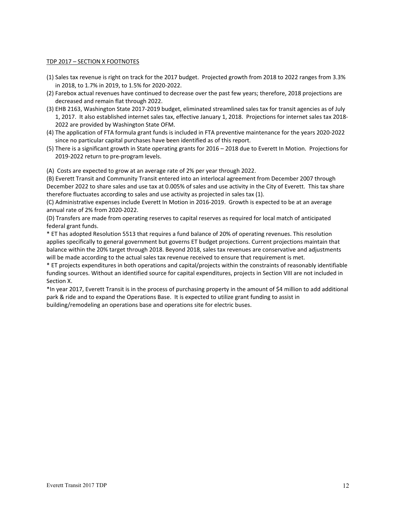#### TDP 2017 – SECTION X FOOTNOTES

- (1) Sales tax revenue is right on track for the 2017 budget. Projected growth from 2018 to 2022 ranges from 3.3% in 2018, to 1.7% in 2019, to 1.5% for 2020‐2022.
- (2) Farebox actual revenues have continued to decrease over the past few years; therefore, 2018 projections are decreased and remain flat through 2022.
- (3) EHB 2163, Washington State 2017‐2019 budget, eliminated streamlined sales tax for transit agencies as of July 1, 2017. It also established internet sales tax, effective January 1, 2018. Projections for internet sales tax 2018‐ 2022 are provided by Washington State OFM.
- (4) The application of FTA formula grant funds is included in FTA preventive maintenance for the years 2020‐2022 since no particular capital purchases have been identified as of this report.
- (5) There is a significant growth in State operating grants for 2016 2018 due to Everett In Motion. Projections for 2019‐2022 return to pre‐program levels.

(A) Costs are expected to grow at an average rate of 2% per year through 2022.

(B) Everett Transit and Community Transit entered into an interlocal agreement from December 2007 through December 2022 to share sales and use tax at 0.005% of sales and use activity in the City of Everett. This tax share therefore fluctuates according to sales and use activity as projected in sales tax (1).

(C) Administrative expenses include Everett In Motion in 2016‐2019. Growth is expected to be at an average annual rate of 2% from 2020‐2022.

(D) Transfers are made from operating reserves to capital reserves as required for local match of anticipated federal grant funds.

\* ET has adopted Resolution 5513 that requires a fund balance of 20% of operating revenues. This resolution applies specifically to general government but governs ET budget projections. Current projections maintain that balance within the 20% target through 2018. Beyond 2018, sales tax revenues are conservative and adjustments will be made according to the actual sales tax revenue received to ensure that requirement is met.

\* ET projects expenditures in both operations and capital/projects within the constraints of reasonably identifiable funding sources. Without an identified source for capital expenditures, projects in Section VIII are not included in Section X.

\*In year 2017, Everett Transit is in the process of purchasing property in the amount of \$4 million to add additional park & ride and to expand the Operations Base. It is expected to utilize grant funding to assist in building/remodeling an operations base and operations site for electric buses.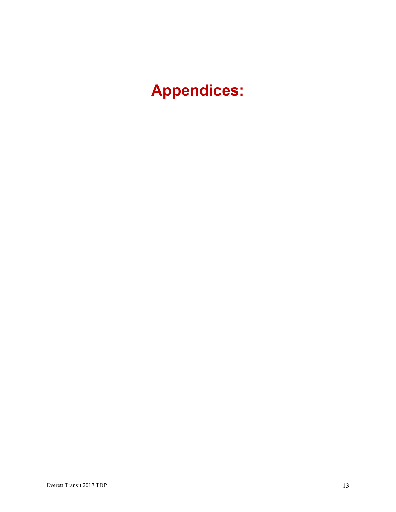**Appendices:**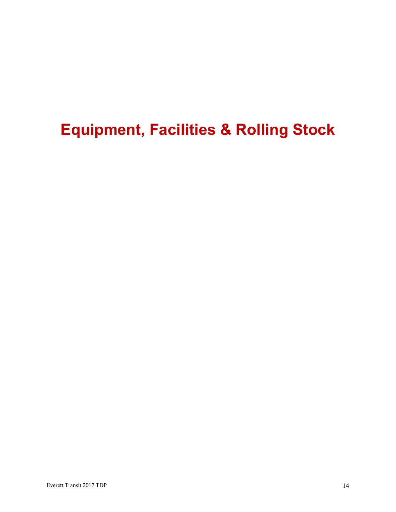# **Equipment, Facilities & Rolling Stock**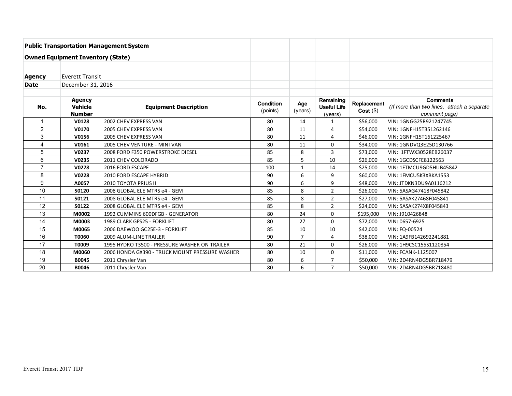|                         |                                                  | <b>Public Transportation Management System</b> |                              |                |                                            |                           |                                                                                |
|-------------------------|--------------------------------------------------|------------------------------------------------|------------------------------|----------------|--------------------------------------------|---------------------------|--------------------------------------------------------------------------------|
|                         | <b>Owned Equipment Inventory (State)</b>         |                                                |                              |                |                                            |                           |                                                                                |
|                         |                                                  |                                                |                              |                |                                            |                           |                                                                                |
| Agency                  | <b>Everett Transit</b>                           |                                                |                              |                |                                            |                           |                                                                                |
| <b>Date</b>             | December 31, 2016                                |                                                |                              |                |                                            |                           |                                                                                |
|                         |                                                  |                                                |                              |                |                                            |                           |                                                                                |
| No.                     | <b>Agency</b><br><b>Vehicle</b><br><b>Number</b> | <b>Equipment Description</b>                   | <b>Condition</b><br>(points) | Age<br>(years) | Remaining<br><b>Useful Life</b><br>(years) | Replacement<br>Cost( \$ ) | <b>Comments</b><br>(If more than two lines, attach a separate<br>comment page) |
| $\overline{\mathbf{1}}$ | V0128                                            | 2002 CHEV EXPRESS VAN                          | 80                           | 14             | $\mathbf{1}$                               | \$56,000                  | VIN: 1GNGG25R921247745                                                         |
| $\overline{2}$          | V0170                                            | 2005 CHEV EXPRESS VAN                          | 80                           | 11             | 4                                          | \$54,000                  | VIN: 1GNFH15T351262146                                                         |
| 3                       | V0156                                            | 2005 CHEV EXPRESS VAN                          | 80                           | 11             | 4                                          | \$46,000                  | VIN: 1GNFH15T161225467                                                         |
| $\overline{4}$          | V0161                                            | 2005 CHEV VENTURE - MINI VAN                   | 80                           | 11             | 0                                          | \$34,000                  | VIN: 1GNDVQ3E25D130766                                                         |
| 5                       | V0237                                            | 2008 FORD F350 POWERSTROKE DIESEL              | 85                           | 8              | 3                                          | \$73,000                  | VIN: 1FTWX30528EB26037                                                         |
| 6                       | V0235                                            | 2011 CHEV COLORADO                             | 85                           | 5              | 10                                         | \$26,000                  | VIN: 1GCDSCFE8122563                                                           |
| $\overline{7}$          | V0278                                            | 2016 FORD ESCAPE                               | 100                          | 1              | 14                                         | \$25,000                  | VIN: 1FTMCU9GD5HUB45842                                                        |
| 8                       | V0228                                            | 2010 FORD ESCAPE HYBRID                        | 90                           | 6              | 9                                          | \$60,000                  | VIN: 1FMCU5K3XBKA1553                                                          |
| $\boldsymbol{9}$        | A0057                                            | <b>2010 TOYOTA PRIUS II</b>                    | 90                           | 6              | 9                                          | \$48,000                  | VIN: JTDKN3DU9A0116212                                                         |
| 10                      | S0120                                            | 2008 GLOBAL ELE MTRS e4 - GEM                  | 85                           | 8              | $\overline{2}$                             | \$26,000                  | VIN: 5ASAG47418F045842                                                         |
| 11                      | S0121                                            | 2008 GLOBAL ELE MTRS e4 - GEM                  | 85                           | 8              | 2                                          | \$27,000                  | VIN: 5ASAK27468F045841                                                         |
| 12                      | S0122                                            | 2008 GLOBAL ELE MTRS e4 - GEM                  | 85                           | 8              | $\overline{2}$                             | \$24,000                  | VIN: 5ASAK274X8F045843                                                         |
| 13                      | M0002                                            | 1992 CUMMINS 600DFGB - GENERATOR               | 80                           | 24             | 0                                          | \$195,000                 | VIN: J910426848                                                                |
| 14                      | M0003                                            | 1989 CLARK GPS25 - FORKLIFT                    | 80                           | 27             | $\Omega$                                   | \$72,000                  | VIN: 0657-6925                                                                 |
| 15                      | M0065                                            | 2006 DAEWOO GC25E-3 - FORKLIFT                 | 85                           | 10             | 10                                         | \$42,000                  | VIN: FQ-00524                                                                  |
| 16                      | T0060                                            | 2009 ALUM-LINE TRAILER                         | 90                           | $\overline{7}$ | 4                                          | \$38,000                  | VIN: 1A9FB142692241881                                                         |
| 17                      | T0009                                            | 1995 HYDRO T3500 - PRESSURE WASHER ON TRAILER  | 80                           | 21             | $\Omega$                                   | \$26,000                  | VIN: 1H9CSC155S1120854                                                         |
| 18                      | M0060                                            | 2006 HONDA GX390 - TRUCK MOUNT PRESSURE WASHER | 80                           | 10             | 0                                          | \$11,000                  | VIN: FCANK-1125007                                                             |
| 19                      | B0045                                            | 2011 Chrysler Van                              | 80                           | 6              | $\overline{7}$                             | \$50,000                  | VIN: 2D4RN4DG5BR718479                                                         |
| 20                      | B0046                                            | 2011 Chrysler Van                              | 80                           | 6              | $\overline{7}$                             | \$50,000                  | VIN: 2D4RN4DG5BR718480                                                         |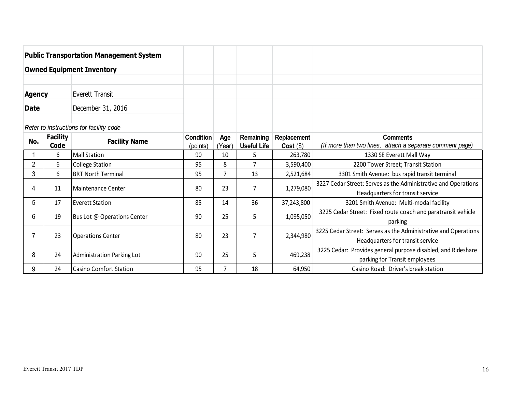|                                         |                         | <b>Public Transportation Management System</b> |                              |              |                          |                            |                                                                                                    |
|-----------------------------------------|-------------------------|------------------------------------------------|------------------------------|--------------|--------------------------|----------------------------|----------------------------------------------------------------------------------------------------|
| <b>Owned Equipment Inventory</b>        |                         |                                                |                              |              |                          |                            |                                                                                                    |
|                                         |                         |                                                |                              |              |                          |                            |                                                                                                    |
| Everett Transit<br><b>Agency</b>        |                         |                                                |                              |              |                          |                            |                                                                                                    |
| December 31, 2016<br><b>Date</b>        |                         |                                                |                              |              |                          |                            |                                                                                                    |
| Refer to instructions for facility code |                         |                                                |                              |              |                          |                            |                                                                                                    |
| No.                                     | <b>Facility</b><br>Code | <b>Facility Name</b>                           | <b>Condition</b><br>(points) | Age<br>Year) | Remaining<br>Useful Life | Replacement<br>$Cost($ \$) | <b>Comments</b><br>(If more than two lines, attach a separate comment page)                        |
|                                         | 6                       | Mall Station                                   | 90                           | 10           | 5                        | 263,780                    | 1330 SE Everett Mall Way                                                                           |
| $\overline{2}$                          | 6                       | College Station                                | 95                           | 8            |                          | 3,590,400                  | 2200 Tower Street; Transit Station                                                                 |
| 3                                       | 6                       | <b>BRT North Terminal</b>                      | 95                           |              | 13                       | 2,521,684                  | 3301 Smith Avenue: bus rapid transit terminal                                                      |
| 4                                       | 11                      | Maintenance Center                             | 80                           | 23           | 7                        | 1,279,080                  | 3227 Cedar Street: Serves as the Administrative and Operations<br>Headquarters for transit service |

17 Everett Station 10 | 85 | 14 | 36 | 37,243,800 | 3201 Smith Avenue: Multi-modal facility

24 Casino Comfort Station 195 | 7 | 18 | 64,950 | Casino Road: Driver's break station

19 Bus Lot @ Operations Center 90 25 25  $\begin{vmatrix} 90 & 25 \\ 90 & 25 \end{vmatrix}$  5  $\begin{vmatrix} 1,095,050 \\ 1,095,050 \end{vmatrix}$  3225 Cedar Street: Fixed route coach and paratransit vehicle parking

23 Operations Center 80 80 23 7 2,344,980 3225 Cedar Street: Serves as the Administrative and Operations 1990 23 2,344,980 Headquarters for transit service

24 Administration Parking Lot 190 90 25 325 260 469,238 3225 Cedar: Provides general purpose disabled, and Rideshare parking for Transit employees

5

6

7

8

9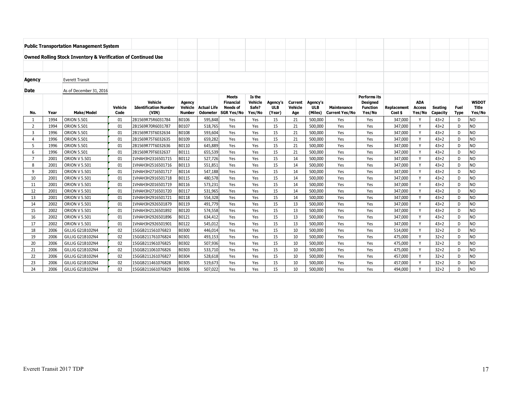|                |      | <b>Public Transportation Management System</b>                           |                 |                                                  |                                    |                                |                                                                          |                                      |                                  |                           |                                   |                                      |                                                              |                               |                                |                     |                            |                                 |
|----------------|------|--------------------------------------------------------------------------|-----------------|--------------------------------------------------|------------------------------------|--------------------------------|--------------------------------------------------------------------------|--------------------------------------|----------------------------------|---------------------------|-----------------------------------|--------------------------------------|--------------------------------------------------------------|-------------------------------|--------------------------------|---------------------|----------------------------|---------------------------------|
|                |      |                                                                          |                 |                                                  |                                    |                                |                                                                          |                                      |                                  |                           |                                   |                                      |                                                              |                               |                                |                     |                            |                                 |
|                |      | <b>Owned Rolling Stock Inventory &amp; Verification of Continued Use</b> |                 |                                                  |                                    |                                |                                                                          |                                      |                                  |                           |                                   |                                      |                                                              |                               |                                |                     |                            |                                 |
|                |      |                                                                          |                 |                                                  |                                    |                                |                                                                          |                                      |                                  |                           |                                   |                                      |                                                              |                               |                                |                     |                            |                                 |
| Agency         |      | <b>Everett Transit</b>                                                   |                 |                                                  |                                    |                                |                                                                          |                                      |                                  |                           |                                   |                                      |                                                              |                               |                                |                     |                            |                                 |
| <b>Date</b>    |      | As of December 31, 2016                                                  |                 |                                                  |                                    |                                |                                                                          |                                      |                                  |                           |                                   |                                      |                                                              |                               |                                |                     |                            |                                 |
| No.            | Year | <b>Make/Model</b>                                                        | Vehicle<br>Code | Vehicle<br><b>Identification Number</b><br>(VIN) | Agency<br>Vehicle<br><b>Number</b> | <b>Actual Life</b><br>Odometer | <b>Meets</b><br><b>Financial</b><br><b>Needs of</b><br><b>SGR Yes/No</b> | Is the<br>Vehicle<br>Safe?<br>Yes/No | Agency's<br><b>ULB</b><br>(Year) | Current<br>Vehicle<br>Age | Agency's<br><b>ULB</b><br>(Miles) | Maintenance<br><b>Current Yes/No</b> | Performs its<br><b>Designed</b><br><b>Function</b><br>Yes/No | <b>Replacement</b><br>Cost \$ | <b>ADA</b><br>Access<br>Yes/No | Seating<br>Capacity | <b>Fuel</b><br><b>Type</b> | <b>WSDOT</b><br>Title<br>Yes/No |
|                | 1994 | <b>ORION 5.501</b>                                                       | 01              | 2B1569R75R6031784                                | B0106                              | 595,848                        | Yes                                                                      | Yes                                  | 15                               | 21                        | 500,000                           | Yes                                  | Yes                                                          | 347,000                       | <b>v</b>                       | $43 + 2$            | D                          | NO                              |
| $\overline{2}$ | 1994 | <b>ORION 5.501</b>                                                       | 01              | 2B1569R70R6031787                                | B0107                              | 518,765                        | Yes                                                                      | Yes                                  | 15                               | 21                        | 500,000                           | Yes                                  | Yes                                                          | 347.000                       | $\mathsf{v}$                   | $43 + 2$            | D                          | N <sub>O</sub>                  |
| $\mathbf{3}$   | 1996 | <b>ORION 5.501</b>                                                       | 01              | 2B1569R73T6032634                                | B0108                              | 593,604                        | Yes                                                                      | Yes                                  | 15                               | 21                        | 500,000                           | Yes                                  | Yes                                                          | 347,000                       | $\mathbf v$                    | $43 + 2$            | D                          | NO                              |
| $\overline{a}$ | 1996 | <b>ORION 5.501</b>                                                       | 01              | 2B1569R75T6032635                                | B0109                              | 659,282                        | Yes                                                                      | Yes                                  | 15                               | 21                        | 500,000                           | Yes                                  | Yes                                                          | 347,000                       | $\mathbf v$                    | $43 + 2$            | D                          | NO                              |
| 5              | 1996 | <b>ORION 5.501</b>                                                       | 01              | 2B1569R77T6032636                                | B0110                              | 645.889                        | Yes                                                                      | Yes                                  | 15                               | 21                        | 500.000                           | Yes                                  | Yes                                                          | 347.000                       | $\checkmark$                   | $43 + 2$            | D                          | N <sub>O</sub>                  |
| 6              | 1996 | <b>ORION 5.501</b>                                                       | 01              | 2B1569R79T6032637                                | B0111                              | 655,539                        | Yes                                                                      | Yes                                  | 15                               | 21                        | 500,000                           | Yes                                  | Yes                                                          | 347,000                       | $\checkmark$                   | $43 + 2$            | D                          | NO                              |
| 7              | 2001 | <b>ORION V 5.501</b>                                                     | 01              | 1VHAH3H2316501715                                | B0112                              | 527,726                        | Yes                                                                      | Yes                                  | 15                               | 14                        | 500,000                           | Yes                                  | Yes                                                          | 347,000                       | $\mathsf{v}$                   | $43 + 2$            | D                          | NO                              |
| 8              | 2001 | <b>ORION V 5.501</b>                                                     | 01              | 1VHAH3H2516501716                                | B0113                              | 551,851                        | Yes                                                                      | Yes                                  | 15                               | 14                        | 500,000                           | Yes                                  | Yes                                                          | 347,000                       | <b>V</b>                       | $43 + 2$            | D                          | N <sub>O</sub>                  |
| 9              | 2001 | <b>ORION V 5.501</b>                                                     | 01              | 1VHAH3H2716501717                                | B0114                              | 547,188                        | Yes                                                                      | Yes                                  | 15                               | 14                        | 500,000                           | Yes                                  | Yes                                                          | 347,000                       | $\mathsf{v}$                   | $43 + 2$            | D                          | N <sub>O</sub>                  |
| 10             | 2001 | <b>ORION V 5.501</b>                                                     | 01              | 1VHAH3H2916501718                                | B0115                              | 480,578                        | Yes                                                                      | Yes                                  | 15                               | 14                        | 500,000                           | Yes                                  | Yes                                                          | 347,000                       | <b>V</b>                       | $43 + 2$            | D                          | N <sub>O</sub>                  |
| 11             | 2001 | <b>ORION V 5.501</b>                                                     | 01              | 1VHAH3H2016501719                                | B0116                              | 573,231                        | Yes                                                                      | Yes                                  | 15                               | 14                        | 500,000                           | Yes                                  | Yes                                                          | 347,000                       | <b>V</b>                       | $43 + 2$            | D                          | N <sub>O</sub>                  |
| 12             | 2001 | <b>ORION V 5.501</b>                                                     | 01              | 1VHAH3H2716501720                                | B0117                              | 531,965                        | Yes                                                                      | Yes                                  | 15                               | 14                        | 500,000                           | Yes                                  | Yes                                                          | 347.000                       | $\mathsf{v}$                   | $43 + 2$            | D                          | N <sub>O</sub>                  |
| 13             | 2001 | <b>ORION V 5.501</b>                                                     | 01              | 1VHAH3H2916501721                                | B0118                              | 554,328                        | Yes                                                                      | Yes                                  | 15                               | 14                        | 500,000                           | Yes                                  | Yes                                                          | 347.000                       | $\mathsf{v}$                   | $43 + 2$            | D                          | N <sub>O</sub>                  |
| 14             | 2002 | <b>ORION V 5.501</b>                                                     | 01              | 1VHAH3H2926501879                                | B0119                              | 491,779                        | Yes                                                                      | Yes                                  | 15                               | 13                        | 500,000                           | Yes                                  | Yes                                                          | 347,000                       | $\mathsf{v}$                   | $43 + 2$            | D                          | N <sub>O</sub>                  |
| 15             | 2002 | <b>ORION V 5.501</b>                                                     | 01              | 1VHAH3H2126501892                                | B0120                              | 574,558                        | Yes                                                                      | Yes                                  | 15                               | 13                        | 500,000                           | Yes                                  | Yes                                                          | 347,000                       | $\mathsf{v}$                   | $43 + 2$            | D                          | <b>NO</b>                       |
| 16             | 2002 | <b>ORION V 5.501</b>                                                     | 01              | 1VHAH3H2926501896                                | B0121                              | 634,412                        | Yes                                                                      | Yes                                  | 15                               | 13                        | 500,000                           | Yes                                  | Yes                                                          | 347,000                       | $\mathsf{v}$                   | $43 + 2$            | D                          | <b>NO</b>                       |
| 17             | 2002 | <b>ORION V 5.501</b>                                                     | 01              | 1VHAH3H2926501901                                | B0122                              | 545,012                        | Yes                                                                      | Yes                                  | 15                               | 13                        | 500,000                           | Yes                                  | Yes                                                          | 347.000                       | $\vee$                         | $43 + 2$            | D                          | N <sub>O</sub>                  |
| 18             | 2006 | GILLIG G21B102N4                                                         | 02              | 15GGB211561076823                                | B0300                              | 446,014                        | Yes                                                                      | Yes                                  | 15                               | 10                        | 500,000                           | Yes                                  | Yes                                                          | 514,000                       | $\mathbf v$                    | $32 + 2$            | D                          | N <sub>O</sub>                  |
| 19             | 2006 | GILLIG G21B102N4                                                         | 02              | 15GGB211761076824                                | B0301                              | 493,153                        | Yes                                                                      | Yes                                  | 15                               | 10                        | 500,000                           | Yes                                  | Yes                                                          | 475,000                       | $\mathsf{v}$                   | $32 + 2$            | D.                         | NO                              |
| 20             | 2006 | GILLIG G21B102N4                                                         | 02              | 15GGB211961076825                                | B0302                              | 507,936                        | Yes                                                                      | Yes                                  | 15                               | 10                        | 500.000                           | Yes                                  | Yes                                                          | 475.000                       | $\mathsf{v}$                   | $32 + 2$            | D                          | N <sub>O</sub>                  |
| 21             | 2006 | GILLIG G21B102N4                                                         | 02              | 15GGB211061076826                                | B0303                              | 533,710                        | Yes                                                                      | Yes                                  | 15                               | 10                        | 500,000                           | Yes                                  | Yes                                                          | 475,000                       | v                              | $32 + 2$            | D                          | N <sub>O</sub>                  |
| 22             | 2006 | GILLIG G21B102N4                                                         | 02              | 15GGB211261076827                                | B0304                              | 528,618                        | Yes                                                                      | Yes                                  | 15                               | 10                        | 500,000                           | Yes                                  | Yes                                                          | 457,000                       | <b>V</b>                       | $32 + 2$            | D                          | NO                              |
| 23             | 2006 | GILLIG G21B102N4                                                         | 02              | 15GGB211461076828                                | B0305                              | 519,673                        | Yes                                                                      | Yes                                  | 15                               | 10                        | 500,000                           | Yes                                  | Yes                                                          | 457,000                       |                                | $32 + 2$            | D                          | NO                              |
| 24             | 2006 | GILLIG G21B102N4                                                         | 02              | 15GGB211661076829                                | B0306                              | 507.022                        | Yes                                                                      | Yes                                  | 15                               | 10                        | 500,000                           | Yes                                  | Yes                                                          | 494.000                       |                                | $32 + 2$            | D                          | N <sub>O</sub>                  |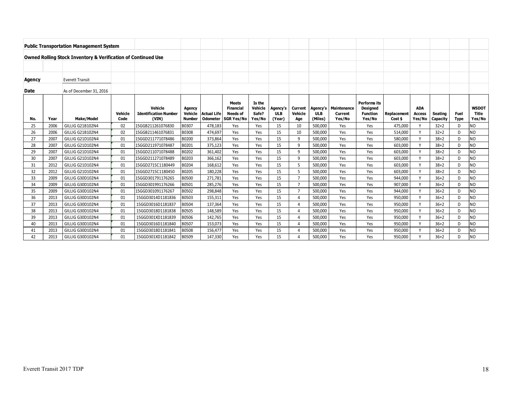| <b>Public Transportation Management System</b>                           |      |                         |                 |                                                  |                                           |                                       |                                                                          |                                      |                                  |                           |                                   |                                  |                                                              |                        |                                       |                     |                     |                                 |
|--------------------------------------------------------------------------|------|-------------------------|-----------------|--------------------------------------------------|-------------------------------------------|---------------------------------------|--------------------------------------------------------------------------|--------------------------------------|----------------------------------|---------------------------|-----------------------------------|----------------------------------|--------------------------------------------------------------|------------------------|---------------------------------------|---------------------|---------------------|---------------------------------|
| <b>Owned Rolling Stock Inventory &amp; Verification of Continued Use</b> |      |                         |                 |                                                  |                                           |                                       |                                                                          |                                      |                                  |                           |                                   |                                  |                                                              |                        |                                       |                     |                     |                                 |
|                                                                          |      |                         |                 |                                                  |                                           |                                       |                                                                          |                                      |                                  |                           |                                   |                                  |                                                              |                        |                                       |                     |                     |                                 |
| Agency                                                                   |      | <b>Everett Transit</b>  |                 |                                                  |                                           |                                       |                                                                          |                                      |                                  |                           |                                   |                                  |                                                              |                        |                                       |                     |                     |                                 |
| <b>Date</b>                                                              |      | As of December 31, 2016 |                 |                                                  |                                           |                                       |                                                                          |                                      |                                  |                           |                                   |                                  |                                                              |                        |                                       |                     |                     |                                 |
| No.                                                                      | Year | Make/Model              | Vehicle<br>Code | Vehicle<br><b>Identification Number</b><br>(VIN) | Agency<br><b>Vehicle</b><br><b>Number</b> | <b>Actual Life</b><br><b>Odometer</b> | <b>Meets</b><br><b>Financial</b><br><b>Needs of</b><br><b>SGR Yes/No</b> | Is the<br>Vehicle<br>Safe?<br>Yes/No | Agency's<br><b>ULB</b><br>(Year) | Current<br>Vehicle<br>Age | Agency's<br><b>ULB</b><br>(Miles) | Maintenance<br>Current<br>Yes/No | Performs its<br><b>Designed</b><br><b>Function</b><br>Yes/No | Replacement<br>Cost \$ | <b>ADA</b><br><b>Access</b><br>Yes/No | Seating<br>Capacity | Fuel<br><b>Type</b> | <b>WSDOT</b><br>Title<br>Yes/No |
| 25                                                                       | 2006 | GILLIG G21B102N4        | 02              | 15GGB211261076830                                | B0307                                     | 478,183                               | Yes                                                                      | Yes                                  | 15                               | 10                        | 500,000                           | Yes                              | Yes                                                          | 475,000                | v                                     | $32 + 2$            | D                   | ΝO                              |
| 26                                                                       | 2006 | GILLIG G21B102N4        | 02              | 15GGB211461076831                                | B0308                                     | 474,697                               | Yes                                                                      | Yes                                  | 15                               | 10                        | 500,000                           | Yes                              | Yes                                                          | 514,000                | $\mathsf{v}$                          | $32 + 2$            | D                   | NO                              |
| 27                                                                       | 2007 | GILLIG G21D102N4        | 01              | 15GGD211771078486                                | B0200                                     | 373,864                               | Yes                                                                      | Yes                                  | 15                               | 9                         | 500,000                           | Yes                              | Yes                                                          | 580,000                | $\mathsf{v}$                          | $38 + 2$            | D                   | NO                              |
| 28                                                                       | 2007 | GILLIG G21D102N4        | 01              | 15GGD211971078487                                | B0201                                     | 375,123                               | Yes                                                                      | Yes                                  | 15                               | 9                         | 500,000                           | Yes                              | Yes                                                          | 603,000                | v                                     | $38 + 2$            | D                   | NO                              |
| 29                                                                       | 2007 | GILLIG G21D102N4        | 01              | 15GGD211071078488                                | B0202                                     | 361,402                               | Yes                                                                      | Yes                                  | 15                               | 9                         | 500,000                           | Yes                              | Yes                                                          | 603,000                | v                                     | $38 + 2$            | D                   | NO                              |
| 30                                                                       | 2007 | GILLIG G21D102N4        | 01              | 15GGD211271078489                                | B0203                                     | 366,162                               | Yes                                                                      | Yes                                  | 15                               | 9                         | 500,000                           | Yes                              | Yes                                                          | 603,000                | $\mathsf{v}$                          | $38 + 2$            | D                   | <b>NO</b>                       |
| 31                                                                       | 2012 | GILLIG G21D102N4        | 01              | 15GGD2715C1180449                                | B0204                                     | 168,612                               | Yes                                                                      | Yes                                  | 15                               | 5                         | 500,000                           | Yes                              | Yes                                                          | 603,000                | $\vee$                                | $38 + 2$            | D                   | NO                              |
| 32                                                                       | 2012 | GILLIG G21D102N4        | 01              | 15GGD2715C1180450                                | B0205                                     | 180,228                               | Yes                                                                      | Yes                                  | 15                               | 5                         | 500,000                           | Yes                              | Yes                                                          | 603,000                | Y                                     | $38 + 2$            | D                   | NO                              |
| 33                                                                       | 2009 | GILLIG G30D102N4        | 01              | 15GGD301791176265                                | B0500                                     | 271,781                               | Yes                                                                      | Yes                                  | 15                               | $\overline{7}$            | 500,000                           | Yes                              | Yes                                                          | 944,000                | v                                     | $36 + 2$            | D                   | NO                              |
| 34                                                                       | 2009 | GILLIG G30D102N4        | 01              | 15GGD301991176266                                | B0501                                     | 285,276                               | Yes                                                                      | Yes                                  | 15                               | $\overline{7}$            | 500,000                           | Yes                              | Yes                                                          | 907,000                | $\mathsf{v}$                          | $36 + 2$            | D                   | NO                              |
| 35                                                                       | 2009 | GILLIG G30D102N4        | 01              | 15GGD301091176267                                | B0502                                     | 298,848                               | Yes                                                                      | Yes                                  | 15                               | $\overline{7}$            | 500,000                           | Yes                              | Yes                                                          | 944,000                | $\checkmark$                          | $36 + 2$            | D                   | NO                              |
| 36                                                                       | 2013 | GILLIG G30D102N4        | 01              | 15GGD3014D1181836                                | B0503                                     | 155,311                               | Yes                                                                      | Yes                                  | 15                               | $\overline{4}$            | 500,000                           | Yes                              | Yes                                                          | 950.000                | v                                     | $36 + 2$            | D                   | NO                              |
| 37                                                                       | 2013 | GILLIG G30D102N4        | 01              | 15GGD3016D1181837                                | B0504                                     | 137.364                               | Yes                                                                      | Yes                                  | 15                               | $\overline{4}$            | 500,000                           | Yes                              | Yes                                                          | 950,000                | $\mathsf{v}$                          | $36 + 2$            | D                   | NO                              |
| 38                                                                       | 2013 | GILLIG G30D102N4        | 01              | 15GGD3018D1181838                                | B0505                                     | 148,589                               | Yes                                                                      | Yes                                  | 15                               | $\overline{4}$            | 500,000                           | Yes                              | Yes                                                          | 950,000                | $\mathsf{v}$                          | $36 + 2$            | D                   | NO                              |
| 39                                                                       | 2013 | GILLIG G30D102N4        | 01              | 15GGD301XD1181839                                | B0506                                     | 142,765                               | Yes                                                                      | Yes                                  | 15                               | $\overline{4}$            | 500,000                           | Yes                              | Yes                                                          | 950,000                | $\checkmark$                          | $36 + 2$            | D                   | NO                              |
| 40                                                                       | 2013 | GILLIG G30D102N4        | 01              | 15GGD3016D1181840                                | B0507                                     | 153,073                               | Yes                                                                      | Yes                                  | 15                               | $\overline{4}$            | 500,000                           | Yes                              | Yes                                                          | 950,000                | $\mathsf{v}$                          | $36 + 2$            | D                   | <b>NO</b>                       |
| 41                                                                       | 2013 | GILLIG G30D102N4        | 01              | 15GGD3018D1181841                                | B0508                                     | 156,477                               | Yes                                                                      | Yes                                  | 15                               | $\overline{4}$            | 500,000                           | Yes                              | Yes                                                          | 950,000                | $\checkmark$                          | $36+2$              | D                   | NΟ                              |
| 42                                                                       | 2013 | GILLIG G30D102N4        | 01              | 15GGD301XD1181842                                | B0509                                     | 147,330                               | Yes                                                                      | Yes                                  | 15                               | $\Delta$                  | 500,000                           | Yes                              | Yes                                                          | 950,000                | $\checkmark$                          | $36 + 2$            | D                   | NO                              |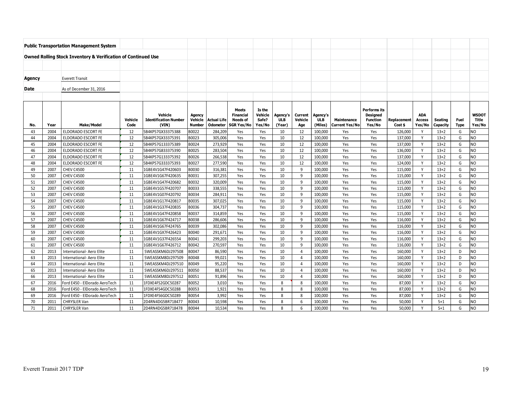| <b>Public Transportation Management System</b>                           |              |                                        |                 |                                        |                          |                                       |                                      |               |              |                |                    |                                      |                 |                        |                         |                    |                  |                                  |
|--------------------------------------------------------------------------|--------------|----------------------------------------|-----------------|----------------------------------------|--------------------------|---------------------------------------|--------------------------------------|---------------|--------------|----------------|--------------------|--------------------------------------|-----------------|------------------------|-------------------------|--------------------|------------------|----------------------------------|
| <b>Owned Rolling Stock Inventory &amp; Verification of Continued Use</b> |              |                                        |                 |                                        |                          |                                       |                                      |               |              |                |                    |                                      |                 |                        |                         |                    |                  |                                  |
|                                                                          |              |                                        |                 |                                        |                          |                                       |                                      |               |              |                |                    |                                      |                 |                        |                         |                    |                  |                                  |
|                                                                          |              |                                        |                 |                                        |                          |                                       |                                      |               |              |                |                    |                                      |                 |                        |                         |                    |                  |                                  |
| Agency                                                                   |              | <b>Everett Transit</b>                 |                 |                                        |                          |                                       |                                      |               |              |                |                    |                                      |                 |                        |                         |                    |                  |                                  |
|                                                                          |              |                                        |                 |                                        |                          |                                       |                                      |               |              |                |                    |                                      |                 |                        |                         |                    |                  |                                  |
| Date                                                                     |              | As of December 31, 2016                |                 |                                        |                          |                                       |                                      |               |              |                |                    |                                      |                 |                        |                         |                    |                  |                                  |
|                                                                          |              |                                        |                 |                                        |                          |                                       |                                      |               |              |                |                    |                                      |                 |                        |                         |                    |                  |                                  |
|                                                                          |              |                                        |                 |                                        |                          |                                       | <b>Meets</b>                         | Is the        |              |                |                    |                                      | Performs its    |                        |                         |                    |                  |                                  |
|                                                                          |              |                                        |                 | Vehicle                                | Agency                   |                                       | Financial                            | Vehicle       | Agency's     | Current        | Agency's           |                                      | <b>Designed</b> |                        | <b>ADA</b>              |                    |                  | WSDOT                            |
|                                                                          | Year         | <b>Make/Model</b>                      | Vehicle<br>Code | <b>Identification Number</b><br>(VIN)  | Vehicle<br><b>Number</b> | <b>Actual Life</b><br><b>Odometer</b> | <b>Needs of</b><br><b>SGR Yes/No</b> | Safe?         | <b>ULB</b>   | Vehicle        | <b>ULB</b>         | Maintenance<br><b>Current Yes/No</b> | <b>Function</b> | Replacement<br>Cost \$ | <b>Access</b><br>Yes/No | <b>Seating</b>     | Fuel             | Title                            |
| No.<br>43                                                                | 2004         | <b>ELDORADO ESCORT FE</b>              | 12              | 5B4KP57GX33375388                      | B0022                    | 284,209                               | Yes                                  | Yes/No<br>Yes | (Year)<br>10 | Age<br>12      | (Miles)<br>100.000 | Yes                                  | Yes/No<br>Yes   | 126,000                | Y                       | Capacity<br>$13+2$ | <b>Type</b><br>G | Yes/No<br>NO                     |
| 44                                                                       | 2004         | ELDORADO ESCORT FE                     | 12              | 5B4KP57GX33375391                      | B0023                    | 305,006                               | Yes                                  | Yes           | 10           | 12             | 100.000            | Yes                                  | Yes             | 137,000                | Y                       | $13+2$             | G                | NO                               |
| 45                                                                       | 2004         | ELDORADO ESCORT FE                     | 12              | 5B4KP57G133375389                      | B0024                    | 273,929                               | Yes                                  | Yes           | 10           | 12             | 100,000            | Yes                                  | Yes             | 137,000                | Y                       | $13+2$             | G                | N <sub>O</sub>                   |
| 46                                                                       | 2004         | ELDORADO ESCORT FE                     | 12              | 5B4KP57G833375390                      | B0025                    | 283,504                               | Yes                                  | Yes           | 10           | 12             | 100,000            | Yes                                  | Yes             | 136,000                | Y                       | $13+2$             | G                | N <sub>O</sub>                   |
| 47                                                                       | 2004         | ELDORADO ESCORT FE                     | 12              | 5B4KP57G133375392                      | B0026                    | 266,538                               | Yes                                  | Yes           | 10           | 12             | 100,000            | Yes                                  | Yes             | 137,000                | Y                       | $13 + 2$           | G                | N <sub>O</sub>                   |
| 48                                                                       | 2004         | ELDORADO ESCORT FE                     | 12              | 5B4KP57G333375393                      | B0027                    | 277,590                               | Yes                                  | Yes           | 10           | 12             | 100,000            | Yes                                  | Yes             | 124,000                | Y                       | $13+2$             | G                | N <sub>O</sub>                   |
| 49                                                                       | 2007         | <b>CHEV C4500</b>                      | 11              | 1GBE4V1G47F420603                      | B0030                    | 316,381                               | Yes                                  | Yes           | 10           | 9              | 100,000            | Yes                                  | Yes             | 115,000                | Y                       | $13 + 2$           | G                | N <sub>O</sub>                   |
| 50                                                                       | 2007         | <b>CHEV C4500</b>                      | 11              | 1GBE4V1G67F420635                      | B0031                    | 307,255                               | Yes                                  | Yes           | 10           | $\mathsf{q}$   | 100.000            | Yes                                  | Yes             | 115,000                | Y                       | $13+2$             | G                | N <sub>O</sub>                   |
| 51                                                                       | 2007         | <b>CHEV C4500</b>                      | 11              | 1GBE4V1G47F420682                      | B0032                    | 320,009                               | Yes                                  | Yes           | 10           | q              | 100,000            | Yes                                  | Yes             | 115,000                | Y                       | $13+2$             | G                | N <sub>O</sub>                   |
| 52                                                                       | 2007         | <b>CHEV C4500</b>                      | 11              | 1GBE4V1G57F420707                      | B0033                    | 338,555                               | Yes                                  | Yes           | 10           | $\mathsf{q}$   | 100,000            | Yes                                  | Yes             | 115,000                | Y                       | $13+2$             | G                | N <sub>O</sub>                   |
| 53                                                                       | 2007         | <b>CHEV C4500</b>                      | 11              | 1GBE4V1G07F420792                      | B0034                    | 284,911                               | Yes                                  | Yes           | 10           | 9              | 100,000            | Yes                                  | Yes             | 115,000                | Y                       | $13 + 2$           | G                | N <sub>O</sub>                   |
| 54                                                                       | 2007         | <b>CHEV C4500</b>                      | 11              | 1GBE4V1G17F420817                      | B0035                    | 307,025                               | Yes                                  | Yes           | 10           | 9              | 100.000            | Yes                                  | Yes             | 115,000                | Y                       | $13+2$             | G                | N <sub>O</sub>                   |
| 55                                                                       | 2007         | <b>CHEV C4500</b>                      | 11              | 1GBE4V1G37F420835                      | B0036                    | 304,737                               | Yes                                  | Yes           | 10           | q              | 100,000            | Yes                                  | Yes             | 115,000                | Y                       | $13+2$             | G                | <b>NO</b>                        |
| 56                                                                       | 2007         | <b>CHEV C4500</b>                      | 11              | 1GBE4V1G47F420858                      | B0037                    | 314,859                               | Yes                                  | Yes           | 10           | 9              | 100,000            | Yes                                  | Yes             | 115,000                | Y                       | $13 + 2$           | G                | N <sub>O</sub>                   |
| 57                                                                       | 2007         | <b>CHEV C4500</b>                      | 11              | 1GBE4V1G67F424717                      | B0038                    | 286,606                               | Yes                                  | Yes           | 10           | $\mathsf{q}$   | 100,000            | Yes                                  | Yes             | 116,000                | Y                       | $13+2$             | G                | N <sub>O</sub>                   |
| 58                                                                       | 2007         | <b>CHEV C4500</b>                      | 11              | 1GBE4V1G67F424765                      | B0039                    | 302,086                               | Yes                                  | Yes           | 10           | 9              | 100,000            | Yes                                  | Yes             | 116,000                | Y                       | $13+2$             | G                | N <sub>O</sub>                   |
| 59                                                                       | 2007         | <b>CHEV C4500</b>                      | 11              | 1GBE4V1GX7F426423                      | B0040                    | 291,671                               | Yes                                  | Yes           | 10           | $\overline{9}$ | 100,000            | Yes                                  | Yes             | 116,000                | Y<br>Y                  | $13 + 2$           | G<br>G           | N <sub>O</sub>                   |
| 60<br>61                                                                 | 2007<br>2007 | <b>CHEV C4500</b><br><b>CHEV C4500</b> | 11<br>11        | 1GBE4V1G37F426554<br>1GBE4V1G67F426712 | B0041<br>B0042           | 299,203<br>270.597                    | Yes<br>Yes                           | Yes<br>Yes    | 10<br>10     | 9<br>9         | 100,000<br>100.000 | Yes<br>Yes                           | Yes<br>Yes      | 116,000<br>116.000     | Υ                       | $13+2$<br>$13+2$   | G                | N <sub>O</sub><br>N <sub>O</sub> |
| 62                                                                       | 2013         | <b>International- Aero Elite</b>       | 11              | 5WEASSKM6DJ297508                      | B0047                    | 86,590                                | Yes                                  | Yes           | 10           | $\overline{4}$ | 100,000            | Yes                                  | Yes             | 160,000                | Y                       | $13+2$             | D                | <b>NO</b>                        |
| 63                                                                       | 2013         | International- Aero Elite              | 11              | 5WEASSKM8DJ297509                      | B0048                    | 99,021                                | Yes                                  | Yes           | 10           | $\overline{4}$ | 100,000            | Yes                                  | Yes             | 160,000                | Y                       | $13+2$             | D                | N <sub>O</sub>                   |
| 64                                                                       | 2013         | International- Aero Elite              | 11              | 5WEASSKM4DJ297510                      | B0049                    | 95,220                                | Yes                                  | Yes           | 10           | $\overline{4}$ | 100.000            | Yes                                  | Yes             | 160,000                | Y                       | $13+2$             | D                | N <sub>O</sub>                   |
| 65                                                                       | 2013         | International- Aero Elite              | 11              | 5WEASSKM6DJ297511                      | B0050                    | 88,537                                | Yes                                  | Yes           | 10           | $\overline{4}$ | 100,000            | Yes                                  | Yes             | 160,000                | Y                       | $13+2$             | D                | N <sub>O</sub>                   |
| 66                                                                       | 2013         | International- Aero Elite              | 11              | 5WEASSKM8DJ297512                      | B0051                    | 91,896                                | Yes                                  | Yes           | 10           | $\Delta$       | 100,000            | Yes                                  | Yes             | 160,000                | Y                       | $13 + 2$           | D                | NO                               |
| 67                                                                       | 2016         | Ford E450 - ElDorado AeroTech          | 11              | 1FDXE4FS2GDC50287                      | B0052                    | 3,010                                 | Yes                                  | Yes           | 8            | 8              | 100,000            | Yes                                  | Yes             | 87,000                 | Y                       | $13 + 2$           | G                | N <sub>O</sub>                   |
| 68                                                                       | 2016         | Ford E450 - ElDorado AeroTech          | 11              | 1FDXE4FS4GDC50288                      | B0053                    | 1,921                                 | Yes                                  | Yes           | 8            | 8              | 100.000            | Yes                                  | Yes             | 87,000                 | Y                       | $13+2$             | G                | N <sub>O</sub>                   |
| 69                                                                       | 2016         | Ford E450 - ElDorado AeroTech          | 11              | 1FDXE4FS6GDC50289                      | B0054                    | 3,992                                 | Yes                                  | Yes           | 8            | 8              | 100,000            | Yes                                  | Yes             | 87,000                 | Y                       | $13+2$             | G                | NO                               |
| 70                                                                       | 2011         | <b>CHRYSLER Van</b>                    | 11              | 2D4RN4DG5BR718477                      | B0043                    | 10.598                                | Yes                                  | Yes           | 8            | 6              | 100.000            | Yes                                  | Yes             | 50.000                 | Y                       | $5 + 1$            | G                | N <sub>O</sub>                   |
| 71                                                                       | 2011         | CHRYSLER Van                           | 11              | 2D4RN4DG5BR718478                      | B0044                    | 10,534                                | Yes                                  | Yes           | 8            | 6              | 100,000            | Yes                                  | Yes             | 50.000                 | Y                       | $5 + 1$            | G                | N <sub>O</sub>                   |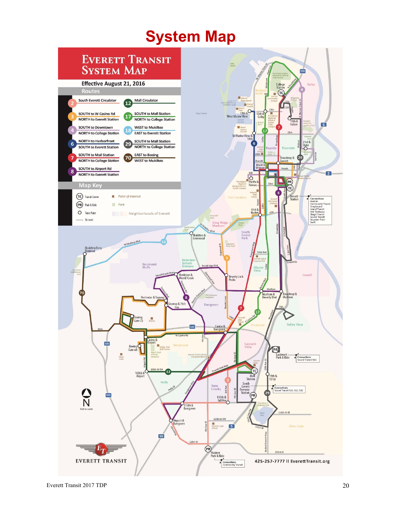# **System Map**

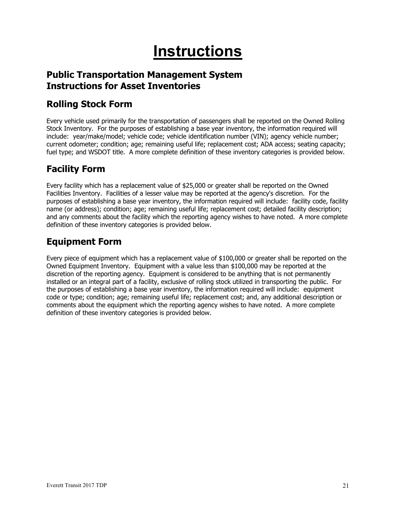# **Instructions**

### **Public Transportation Management System Instructions for Asset Inventories**

### **Rolling Stock Form**

Every vehicle used primarily for the transportation of passengers shall be reported on the Owned Rolling Stock Inventory. For the purposes of establishing a base year inventory, the information required will include: year/make/model; vehicle code; vehicle identification number (VIN); agency vehicle number; current odometer; condition; age; remaining useful life; replacement cost; ADA access; seating capacity; fuel type; and WSDOT title. A more complete definition of these inventory categories is provided below.

### **Facility Form**

Every facility which has a replacement value of \$25,000 or greater shall be reported on the Owned Facilities Inventory. Facilities of a lesser value may be reported at the agency's discretion. For the purposes of establishing a base year inventory, the information required will include: facility code, facility name (or address); condition; age; remaining useful life; replacement cost; detailed facility description; and any comments about the facility which the reporting agency wishes to have noted. A more complete definition of these inventory categories is provided below.

### **Equipment Form**

Every piece of equipment which has a replacement value of \$100,000 or greater shall be reported on the Owned Equipment Inventory. Equipment with a value less than \$100,000 may be reported at the discretion of the reporting agency. Equipment is considered to be anything that is not permanently installed or an integral part of a facility, exclusive of rolling stock utilized in transporting the public. For the purposes of establishing a base year inventory, the information required will include: equipment code or type; condition; age; remaining useful life; replacement cost; and, any additional description or comments about the equipment which the reporting agency wishes to have noted. A more complete definition of these inventory categories is provided below.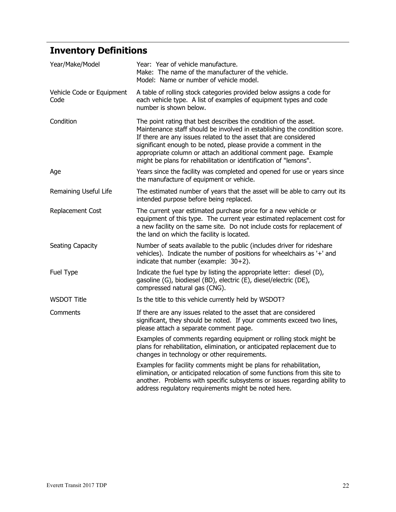# **Inventory Definitions**

| Year/Make/Model                   | Year: Year of vehicle manufacture.<br>Make: The name of the manufacturer of the vehicle.<br>Model: Name or number of vehicle model.                                                                                                                                                                                                                                                                                          |
|-----------------------------------|------------------------------------------------------------------------------------------------------------------------------------------------------------------------------------------------------------------------------------------------------------------------------------------------------------------------------------------------------------------------------------------------------------------------------|
| Vehicle Code or Equipment<br>Code | A table of rolling stock categories provided below assigns a code for<br>each vehicle type. A list of examples of equipment types and code<br>number is shown below.                                                                                                                                                                                                                                                         |
| Condition                         | The point rating that best describes the condition of the asset.<br>Maintenance staff should be involved in establishing the condition score.<br>If there are any issues related to the asset that are considered<br>significant enough to be noted, please provide a comment in the<br>appropriate column or attach an additional comment page. Example<br>might be plans for rehabilitation or identification of "lemons". |
| Age                               | Years since the facility was completed and opened for use or years since<br>the manufacture of equipment or vehicle.                                                                                                                                                                                                                                                                                                         |
| Remaining Useful Life             | The estimated number of years that the asset will be able to carry out its<br>intended purpose before being replaced.                                                                                                                                                                                                                                                                                                        |
| Replacement Cost                  | The current year estimated purchase price for a new vehicle or<br>equipment of this type. The current year estimated replacement cost for<br>a new facility on the same site. Do not include costs for replacement of<br>the land on which the facility is located.                                                                                                                                                          |
| Seating Capacity                  | Number of seats available to the public (includes driver for rideshare<br>vehicles). Indicate the number of positions for wheelchairs as '+' and<br>indicate that number (example: 30+2).                                                                                                                                                                                                                                    |
| Fuel Type                         | Indicate the fuel type by listing the appropriate letter: diesel (D),<br>gasoline (G), biodiesel (BD), electric (E), diesel/electric (DE),<br>compressed natural gas (CNG).                                                                                                                                                                                                                                                  |
| <b>WSDOT Title</b>                | Is the title to this vehicle currently held by WSDOT?                                                                                                                                                                                                                                                                                                                                                                        |
| Comments                          | If there are any issues related to the asset that are considered<br>significant, they should be noted. If your comments exceed two lines,<br>please attach a separate comment page.                                                                                                                                                                                                                                          |
|                                   | Examples of comments regarding equipment or rolling stock might be<br>plans for rehabilitation, elimination, or anticipated replacement due to<br>changes in technology or other requirements.                                                                                                                                                                                                                               |
|                                   | Examples for facility comments might be plans for rehabilitation,<br>elimination, or anticipated relocation of some functions from this site to<br>another. Problems with specific subsystems or issues regarding ability to<br>address regulatory requirements might be noted here.                                                                                                                                         |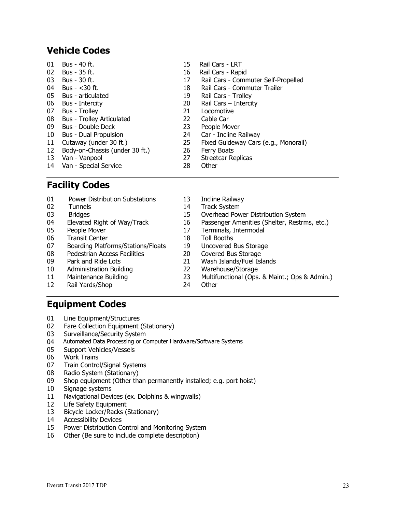### **Vehicle Codes**

| 01              | Bus - 40 ft.                     | 15 | Rail Cars - LRT                      |
|-----------------|----------------------------------|----|--------------------------------------|
| 02              | Bus - 35 ft.                     | 16 | Rail Cars - Rapid                    |
| 03              | Bus - 30 ft.                     | 17 | Rail Cars - Commuter Self-Propelled  |
| 04              | Bus - $<$ 30 ft.                 | 18 | Rail Cars - Commuter Trailer         |
| 05              | Bus - articulated                | 19 | Rail Cars - Trolley                  |
| 06              | Bus - Intercity                  | 20 | Rail Cars $-$ Intercity              |
| 07              | Bus - Trolley                    | 21 | Locomotive                           |
| 08              | <b>Bus - Trolley Articulated</b> | 22 | Cable Car                            |
| 09              | Bus - Double Deck                | 23 | People Mover                         |
| 10 <sup>1</sup> | <b>Bus - Dual Propulsion</b>     | 24 | Car - Incline Railway                |
| 11              | Cutaway (under 30 ft.)           | 25 | Fixed Guideway Cars (e.g., Monorail) |
| 12              | Body-on-Chassis (under 30 ft.)   | 26 | Ferry Boats                          |
| 13              | Van - Vanpool                    | 27 | Streetcar Replicas                   |
|                 | 14 Van - Special Service         | 28 | Other                                |

### **Facility Codes**

| 01 | <b>Power Distribution Substations</b> | 13 | Incline Railway                               |
|----|---------------------------------------|----|-----------------------------------------------|
| 02 | <b>Tunnels</b>                        | 14 | <b>Track System</b>                           |
| 03 | <b>Bridges</b>                        | 15 | Overhead Power Distribution System            |
| 04 | Elevated Right of Way/Track           | 16 | Passenger Amenities (Shelter, Restrms, etc.)  |
| 05 | People Mover                          | 17 | Terminals, Intermodal                         |
| 06 | <b>Transit Center</b>                 | 18 | <b>Toll Booths</b>                            |
| 07 | Boarding Platforms/Stations/Floats    | 19 | Uncovered Bus Storage                         |
| 08 | <b>Pedestrian Access Facilities</b>   | 20 | Covered Bus Storage                           |
| 09 | Park and Ride Lots                    | 21 | Wash Islands/Fuel Islands                     |
| 10 | <b>Administration Building</b>        | 22 | Warehouse/Storage                             |
| 11 | Maintenance Building                  | 23 | Multifunctional (Ops. & Maint.; Ops & Admin.) |
| 12 | Rail Yards/Shop                       | 24 | Other                                         |

### **Equipment Codes**

- 01 Line Equipment/Structures
- 02 Fare Collection Equipment (Stationary)
- 03 Surveillance/Security System
- 04 Automated Data Processing or Computer Hardware/Software Systems
- 05 Support Vehicles/Vessels
- 06 Work Trains
- 07 Train Control/Signal Systems
- 08 Radio System (Stationary)
- 09 Shop equipment (Other than permanently installed; e.g. port hoist)
- 10 Signage systems
- 11 Navigational Devices (ex. Dolphins & wingwalls)
- 12 Life Safety Equipment
- 13 Bicycle Locker/Racks (Stationary)
- 14 Accessibility Devices
- 15 Power Distribution Control and Monitoring System
- 16 Other (Be sure to include complete description)